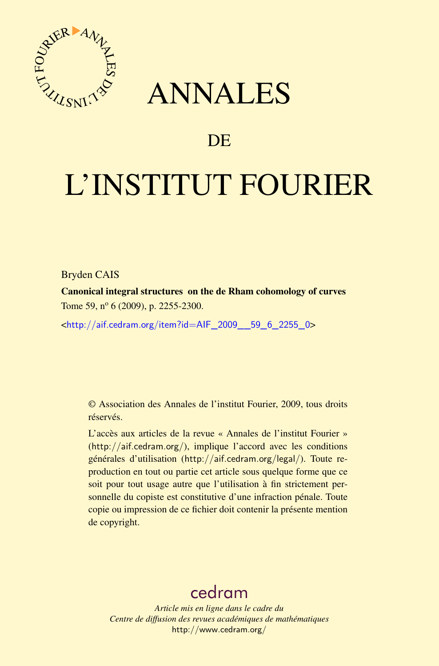

## ANNALES

### **DE**

# L'INSTITUT FOURIER

Bryden CAIS

Canonical integral structures on the de Rham cohomology of curves Tome 59,  $n^{\circ}$  6 (2009), p. 2255-2300.

<[http://aif.cedram.org/item?id=AIF\\_2009\\_\\_59\\_6\\_2255\\_0](http://aif.cedram.org/item?id=AIF_2009__59_6_2255_0)>

© Association des Annales de l'institut Fourier, 2009, tous droits réservés.

L'accès aux articles de la revue « Annales de l'institut Fourier » (<http://aif.cedram.org/>), implique l'accord avec les conditions générales d'utilisation (<http://aif.cedram.org/legal/>). Toute reproduction en tout ou partie cet article sous quelque forme que ce soit pour tout usage autre que l'utilisation à fin strictement personnelle du copiste est constitutive d'une infraction pénale. Toute copie ou impression de ce fichier doit contenir la présente mention de copyright.

## [cedram](http://www.cedram.org/)

*Article mis en ligne dans le cadre du Centre de diffusion des revues académiques de mathématiques* <http://www.cedram.org/>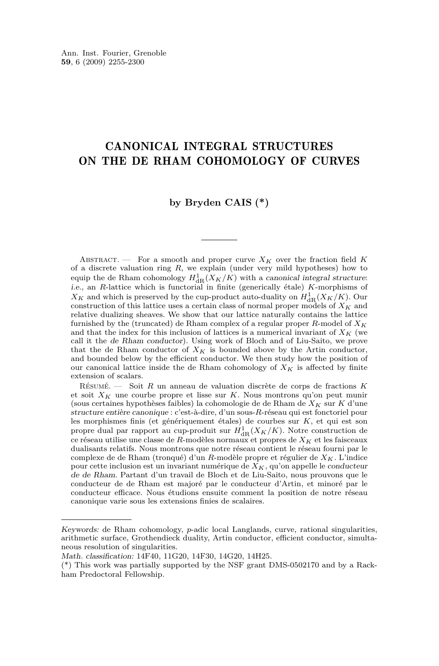#### CANONICAL INTEGRAL STRUCTURES ON THE DE RHAM COHOMOLOGY OF CURVES

#### **by Bryden CAIS (\*)**

ABSTRACT. — For a smooth and proper curve  $X_K$  over the fraction field K of a discrete valuation ring *R*, we explain (under very mild hypotheses) how to equip the de Rham cohomology  $H_{dR}(X_K/K)$  with a canonical integral structure:<br>i.e., an *R*-lattice which is functorial in finite (generically étale) *K*-morphisms of  $X_K$  and which is preserved by the cup-product auto-duality on  $H^1_{dR}(X_K/K)$ . Our construction of this lattice uses a certain class of normal proper models of *X<sup>K</sup>* and relative dualizing sheaves. We show that our lattice naturally contains the lattice furnished by the (truncated) de Rham complex of a regular proper *R*-model of *X<sup>K</sup>* and that the index for this inclusion of lattices is a numerical invariant of  $X_K$  (we call it the de Rham conductor). Using work of Bloch and of Liu-Saito, we prove that the de Rham conductor of  $X_K$  is bounded above by the Artin conductor, and bounded below by the efficient conductor. We then study how the position of our canonical lattice inside the de Rham cohomology of  $X_K$  is affected by finite extension of scalars.

Résumé. — Soit *R* un anneau de valuation discrète de corps de fractions *K* et soit *X<sup>K</sup>* une courbe propre et lisse sur *K*. Nous montrons qu'on peut munir (sous certaines hypothèses faibles) la cohomologie de de Rham de *X<sup>K</sup>* sur *K* d'une structure entière canonique : c'est-à-dire, d'un sous-*R*-réseau qui est fonctoriel pour les morphismes finis (et génériquement étales) de courbes sur *K*, et qui est son propre dual par rapport au cup-produit sur  $H^1_{\text{dR}}(X_K/K)$ . Notre construction de ce réseau utilise une classe de *R*-modèles normaux et propres de *X<sup>K</sup>* et les faisceaux dualisants relatifs. Nous montrons que notre réseau contient le réseau fourni par le complexe de de Rham (tronqué) d'un *R*-modèle propre et régulier de *XK*. L'indice pour cette inclusion est un invariant numérique de *XK*, qu'on appelle le conducteur de de Rham. Partant d'un travail de Bloch et de Liu-Saito, nous prouvons que le conducteur de de Rham est majoré par le conducteur d'Artin, et minoré par le conducteur efficace. Nous étudions ensuite comment la position de notre réseau canonique varie sous les extensions finies de scalaires.

Keywords: de Rham cohomology, *p*-adic local Langlands, curve, rational singularities, arithmetic surface, Grothendieck duality, Artin conductor, efficient conductor, simultaneous resolution of singularities.

Math. classification: 14F40, 11G20, 14F30, 14G20, 14H25.

<sup>(\*)</sup> This work was partially supported by the NSF grant DMS-0502170 and by a Rackham Predoctoral Fellowship.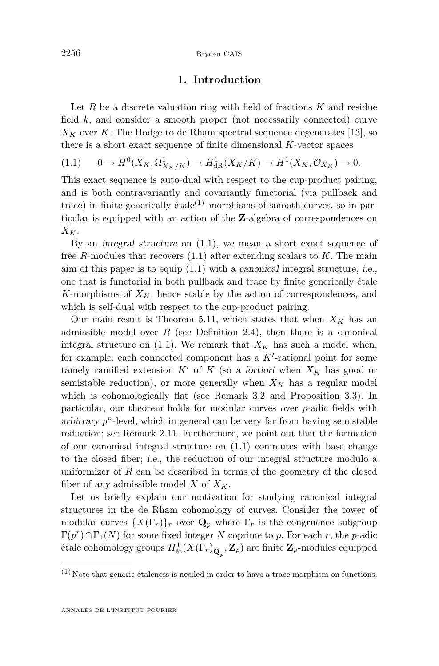#### **1. Introduction**

<span id="page-2-0"></span>Let *R* be a discrete valuation ring with field of fractions *K* and residue field *k*, and consider a smooth proper (not necessarily connected) curve  $X_K$  over *K*. The Hodge to de Rham spectral sequence degenerates [\[13\]](#page-45-0), so there is a short exact sequence of finite dimensional *K*-vector spaces

$$
(1.1) \qquad 0 \to H^0(X_K, \Omega^1_{X_K/K}) \to H^1_{\text{dR}}(X_K/K) \to H^1(X_K, \mathcal{O}_{X_K}) \to 0.
$$

This exact sequence is auto-dual with respect to the cup-product pairing, and is both contravariantly and covariantly functorial (via pullback and trace) in finite generically étale<sup>(1)</sup> morphisms of smooth curves, so in particular is equipped with an action of the **Z**-algebra of correspondences on *XK*.

By an integral structure on (1.1), we mean a short exact sequence of free *R*-modules that recovers (1.1) after extending scalars to *K*. The main aim of this paper is to equip (1.1) with a canonical integral structure, i.e., one that is functorial in both pullback and trace by finite generically étale *K*-morphisms of  $X_K$ , hence stable by the action of correspondences, and which is self-dual with respect to the cup-product pairing.

Our main result is Theorem [5.11,](#page-29-0) which states that when  $X_K$  has an admissible model over  $R$  (see Definition [2.4\)](#page-7-0), then there is a canonical integral structure on  $(1.1)$ . We remark that  $X_K$  has such a model when, for example, each connected component has a  $K'$ -rational point for some tamely ramified extension  $K'$  of  $K$  (so a fortiori when  $X_K$  has good or semistable reduction), or more generally when  $X_K$  has a regular model which is cohomologically flat (see Remark [3.2](#page-11-0) and Proposition [3.3\)](#page-12-0). In particular, our theorem holds for modular curves over *p*-adic fields with arbitrary  $p^n$ -level, which in general can be very far from having semistable reduction; see Remark [2.11.](#page-10-0) Furthermore, we point out that the formation of our canonical integral structure on (1.1) commutes with base change to the closed fiber; i.e., the reduction of our integral structure modulo a uniformizer of  $R$  can be described in terms of the geometry of the closed fiber of any admissible model  $X$  of  $X_K$ .

Let us briefly explain our motivation for studying canonical integral structures in the de Rham cohomology of curves. Consider the tower of modular curves  $\{X(\Gamma_r)\}_r$  over  $\mathbf{Q}_p$  where  $\Gamma_r$  is the congruence subgroup  $\Gamma(p^r) \cap \Gamma_1(N)$  for some fixed integer *N* coprime to *p*. For each *r*, the *p*-adic étale cohomology groups  $H^1_{\text{\'et}}(X(\Gamma_r)_{\overline{\mathbf{Q}}_p}, \mathbf{Z}_p)$  are finite  $\mathbf{Z}_p$ -modules equipped

 $(1)$  Note that generic étaleness is needed in order to have a trace morphism on functions.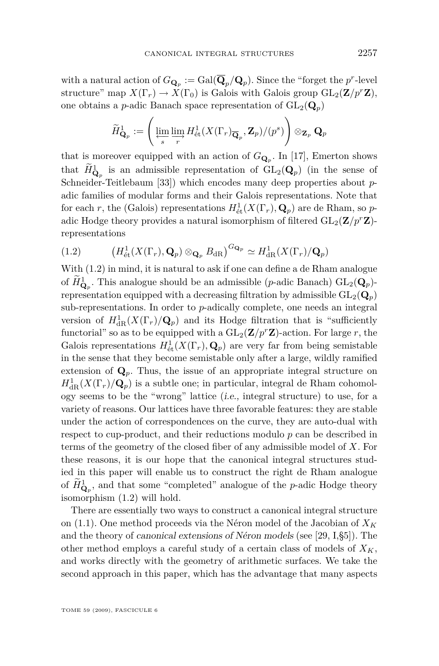with a natural action of  $G_{\mathbf{Q}_p} := \text{Gal}(\overline{\mathbf{Q}}_p/\mathbf{Q}_p)$ . Since the "forget the  $p^r$ -level structure" map  $X(\Gamma_r) \to X(\Gamma_0)$  is Galois with Galois group  $GL_2(\mathbf{Z}/p^r\mathbf{Z})$ , one obtains a *p*-adic Banach space representation of  $GL_2(\mathbf{Q}_p)$ 

$$
\widetilde{H}^1_{\mathbf{Q}_p} := \left(\varprojlim_s \varinjlim_r H^1_{\text{\'et}}(X(\Gamma_r)_{\overline{\mathbf{Q}}_p}, \mathbf{Z}_p) / (p^s) \right) \otimes_{\mathbf{Z}_p} \mathbf{Q}_p
$$

that is moreover equipped with an action of  $G_{\mathbf{Q}_p}$ . In [\[17\]](#page-46-0), Emerton shows that  $H^1_{\mathbf{Q}_p}$  is an admissible representation of  $GL_2(\mathbf{Q}_p)$  (in the sense of Schneider-Teitlebaum [\[33\]](#page-46-0)) which encodes many deep properties about *p*adic families of modular forms and their Galois representations. Note that for each *r*, the (Galois) representations  $H^1_{\text{\'et}}(X(\Gamma_r), \mathbf{Q}_p)$  are de Rham, so *p*adic Hodge theory provides a natural isomorphism of filtered  $GL_2(\mathbf{Z}/p^r\mathbf{Z})$ representations

(1.2) 
$$
\left(H_{\text{\'et}}^1(X(\Gamma_r),\mathbf{Q}_p)\otimes_{\mathbf{Q}_p}B_{\text{dR}}\right)^{G_{\mathbf{Q}_p}}\simeq H_{\text{dR}}^1(X(\Gamma_r)/\mathbf{Q}_p)
$$

With (1.2) in mind, it is natural to ask if one can define a de Rham analogue of  $H_{\mathbf{Q}_p}^1$ . This analogue should be an admissible (*p*-adic Banach)  $GL_2(\mathbf{Q}_p)$ representation equipped with a decreasing filtration by admissible  $GL_2(\mathbf{Q}_p)$ sub-representations. In order to *p*-adically complete, one needs an integral version of  $H^1_{\text{dR}}(X(\Gamma_r)/\mathbf{Q}_p)$  and its Hodge filtration that is "sufficiently functorial" so as to be equipped with a  $GL_2(\mathbf{Z}/p^r\mathbf{Z})$ -action. For large *r*, the Galois representations  $H^1_{\text{\'et}}(X(\Gamma_r), \mathbf{Q}_p)$  are very far from being semistable in the sense that they become semistable only after a large, wildly ramified extension of  $\mathbf{Q}_p$ . Thus, the issue of an appropriate integral structure on  $H^1_{\text{dR}}(X(\Gamma_r)/\mathbf{Q}_p)$  is a subtle one; in particular, integral de Rham cohomology seems to be the "wrong" lattice (i.e., integral structure) to use, for a variety of reasons. Our lattices have three favorable features: they are stable under the action of correspondences on the curve, they are auto-dual with respect to cup-product, and their reductions modulo *p* can be described in terms of the geometry of the closed fiber of any admissible model of *X*. For these reasons, it is our hope that the canonical integral structures studied in this paper will enable us to construct the right de Rham analogue of  $\widetilde{H}^1_{\mathbf{Q}_p}$ , and that some "completed" analogue of the *p*-adic Hodge theory isomorphism (1.2) will hold.

There are essentially two ways to construct a canonical integral structure on [\(1.1\)](#page-2-0). One method proceeds via the Néron model of the Jacobian of *X<sup>K</sup>* and the theory of canonical extensions of Néron models (see [\[29,](#page-46-0) I,§5]). The other method employs a careful study of a certain class of models of *XK*, and works directly with the geometry of arithmetic surfaces. We take the second approach in this paper, which has the advantage that many aspects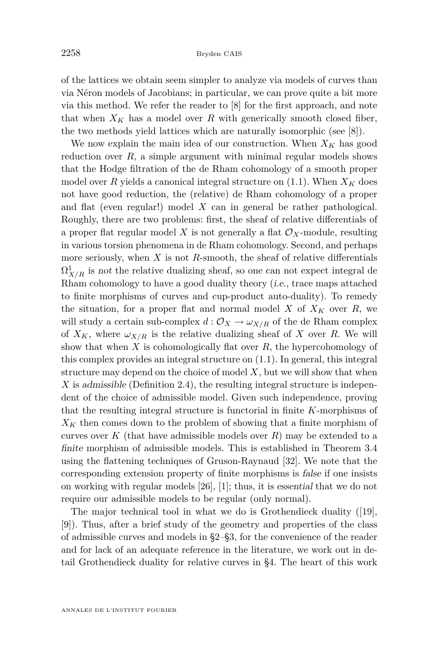of the lattices we obtain seem simpler to analyze via models of curves than via Néron models of Jacobians; in particular, we can prove quite a bit more via this method. We refer the reader to [\[8\]](#page-45-0) for the first approach, and note that when  $X_K$  has a model over R with generically smooth closed fiber, the two methods yield lattices which are naturally isomorphic (see [\[8\]](#page-45-0)).

We now explain the main idea of our construction. When  $X_K$  has good reduction over *R*, a simple argument with minimal regular models shows that the Hodge filtration of the de Rham cohomology of a smooth proper model over *R* yields a canonical integral structure on  $(1.1)$ . When  $X_K$  does not have good reduction, the (relative) de Rham cohomology of a proper and flat (even regular!) model *X* can in general be rather pathological. Roughly, there are two problems: first, the sheaf of relative differentials of a proper flat regular model X is not generally a flat  $\mathcal{O}_X$ -module, resulting in various torsion phenomena in de Rham cohomology. Second, and perhaps more seriously, when *X* is not *R*-smooth, the sheaf of relative differentials  $\Omega^1_{X/R}$  is not the relative dualizing sheaf, so one can not expect integral de Rham cohomology to have a good duality theory (i.e., trace maps attached to finite morphisms of curves and cup-product auto-duality). To remedy the situation, for a proper flat and normal model  $X$  of  $X_K$  over  $R$ , we will study a certain sub-complex  $d: \mathcal{O}_X \to \omega_{X/R}$  of the de Rham complex of  $X_K$ , where  $\omega_{X/R}$  is the relative dualizing sheaf of X over R. We will show that when *X* is cohomologically flat over *R*, the hypercohomology of this complex provides an integral structure on [\(1.1\)](#page-2-0). In general, this integral structure may depend on the choice of model *X*, but we will show that when *X* is admissible (Definition [2.4\)](#page-7-0), the resulting integral structure is independent of the choice of admissible model. Given such independence, proving that the resulting integral structure is functorial in finite *K*-morphisms of *X<sup>K</sup>* then comes down to the problem of showing that a finite morphism of curves over  $K$  (that have admissible models over  $R$ ) may be extended to a finite morphism of admissible models. This is established in Theorem [3.4](#page-13-0) using the flattening techniques of Gruson-Raynaud [\[32\]](#page-46-0). We note that the corresponding extension property of finite morphisms is false if one insists on working with regular models [\[26\]](#page-46-0), [\[1\]](#page-45-0); thus, it is essential that we do not require our admissible models to be regular (only normal).

The major technical tool in what we do is Grothendieck duality ([\[19\]](#page-46-0), [\[9\]](#page-45-0)). Thus, after a brief study of the geometry and properties of the class of admissible curves and models in [§2–](#page-5-0)[§3,](#page-11-0) for the convenience of the reader and for lack of an adequate reference in the literature, we work out in detail Grothendieck duality for relative curves in [§4.](#page-15-0) The heart of this work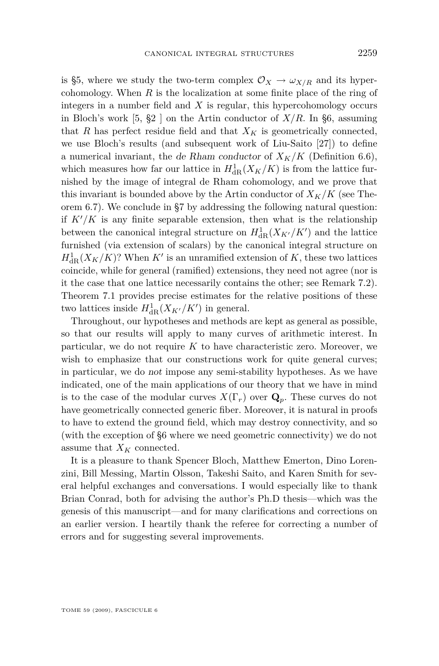<span id="page-5-0"></span>is [§5,](#page-21-0) where we study the two-term complex  $\mathcal{O}_X \to \omega_{X/R}$  and its hypercohomology. When *R* is the localization at some finite place of the ring of integers in a number field and *X* is regular, this hypercohomology occurs in Bloch's work  $[5, §2]$  $[5, §2]$  on the Artin conductor of  $X/R$ . In [§6,](#page-32-0) assuming that *R* has perfect residue field and that  $X_K$  is geometrically connected, we use Bloch's results (and subsequent work of Liu-Saito [\[27\]](#page-46-0)) to define a numerical invariant, the de Rham conductor of  $X_K/K$  (Definition [6.6\)](#page-37-0), which measures how far our lattice in  $H^1_{\text{dR}}(X_K/K)$  is from the lattice furnished by the image of integral de Rham cohomology, and we prove that this invariant is bounded above by the Artin conductor of  $X_K/K$  (see Theorem [6.7\)](#page-37-0). We conclude in [§7](#page-41-0) by addressing the following natural question: if  $K'/K$  is any finite separable extension, then what is the relationship between the canonical integral structure on  $H_{\text{dR}}^1(X_{K'}/K')$  and the lattice furnished (via extension of scalars) by the canonical integral structure on  $H_{\text{dR}}^1(X_K/K)$ ? When  $K'$  is an unramified extension of  $K$ , these two lattices coincide, while for general (ramified) extensions, they need not agree (nor is it the case that one lattice necessarily contains the other; see Remark [7.2\)](#page-44-0). Theorem [7.1](#page-42-0) provides precise estimates for the relative positions of these two lattices inside  $H_{\text{dR}}^1(X_{K'}/K')$  in general.

Throughout, our hypotheses and methods are kept as general as possible, so that our results will apply to many curves of arithmetic interest. In particular, we do not require  $K$  to have characteristic zero. Moreover, we wish to emphasize that our constructions work for quite general curves; in particular, we do not impose any semi-stability hypotheses. As we have indicated, one of the main applications of our theory that we have in mind is to the case of the modular curves  $X(\Gamma_r)$  over  $\mathbf{Q}_p$ . These curves do not have geometrically connected generic fiber. Moreover, it is natural in proofs to have to extend the ground field, which may destroy connectivity, and so (with the exception of [§6](#page-32-0) where we need geometric connectivity) we do not assume that *X<sup>K</sup>* connected.

It is a pleasure to thank Spencer Bloch, Matthew Emerton, Dino Lorenzini, Bill Messing, Martin Olsson, Takeshi Saito, and Karen Smith for several helpful exchanges and conversations. I would especially like to thank Brian Conrad, both for advising the author's Ph.D thesis—which was the genesis of this manuscript—and for many clarifications and corrections on an earlier version. I heartily thank the referee for correcting a number of errors and for suggesting several improvements.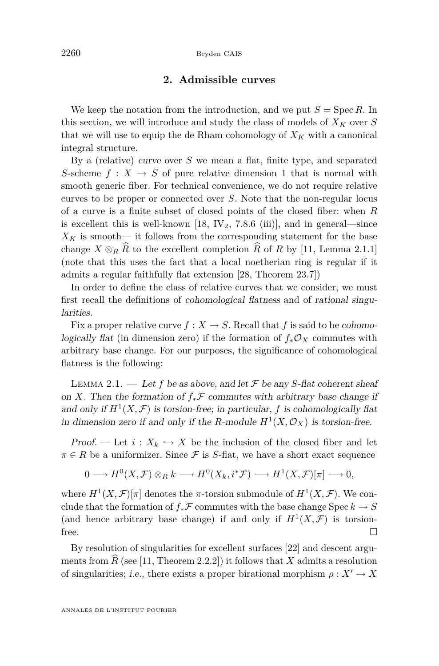#### **2. Admissible curves**

<span id="page-6-0"></span>We keep the notation from the introduction, and we put  $S = \text{Spec } R$ . In this section, we will introduce and study the class of models of  $X_K$  over  $S$ that we will use to equip the de Rham cohomology of  $X_K$  with a canonical integral structure.

By a (relative) curve over *S* we mean a flat, finite type, and separated *S*-scheme  $f: X \rightarrow S$  of pure relative dimension 1 that is normal with smooth generic fiber. For technical convenience, we do not require relative curves to be proper or connected over *S*. Note that the non-regular locus of a curve is a finite subset of closed points of the closed fiber: when *R* is excellent this is well-known [\[18,](#page-46-0) IV<sub>2</sub>, 7.8.6 (iii)], and in general—since  $X_K$  is smooth— it follows from the corresponding statement for the base change  $X \otimes_R \widehat{R}$  to the excellent completion  $\widehat{R}$  of  $R$  by [\[11,](#page-45-0) Lemma 2.1.1] (note that this uses the fact that a local noetherian ring is regular if it admits a regular faithfully flat extension [\[28,](#page-46-0) Theorem 23.7])

In order to define the class of relative curves that we consider, we must first recall the definitions of cohomological flatness and of rational singularities.

Fix a proper relative curve  $f: X \to S$ . Recall that *f* is said to be cohomologically flat (in dimension zero) if the formation of  $f_*\mathcal{O}_X$  commutes with arbitrary base change. For our purposes, the significance of cohomological flatness is the following:

LEMMA 2.1. — Let f be as above, and let  $\mathcal F$  be any *S*-flat coherent sheaf on *X*. Then the formation of  $f_*\mathcal{F}$  commutes with arbitrary base change if and only if  $H^1(X, \mathcal{F})$  is torsion-free; in particular, f is cohomologically flat in dimension zero if and only if the *R*-module  $H^1(X, \mathcal{O}_X)$  is torsion-free.

Proof. — Let  $i: X_k \hookrightarrow X$  be the inclusion of the closed fiber and let  $\pi \in R$  be a uniformizer. Since  $\mathcal F$  is *S*-flat, we have a short exact sequence

$$
0 \longrightarrow H^0(X,\mathcal{F}) \otimes_R k \longrightarrow H^0(X_k,i^*\mathcal{F}) \longrightarrow H^1(X,\mathcal{F})[\pi] \longrightarrow 0,
$$

where  $H^1(X, \mathcal{F})[\pi]$  denotes the  $\pi$ -torsion submodule of  $H^1(X, \mathcal{F})$ . We conclude that the formation of  $f_*\mathcal{F}$  commutes with the base change Spec  $k \to S$ (and hence arbitrary base change) if and only if  $H^1(X, \mathcal{F})$  is torsionfree.  $\Box$ 

By resolution of singularities for excellent surfaces [\[22\]](#page-46-0) and descent arguments from  $\hat{R}$  (see [\[11,](#page-45-0) Theorem 2.2.2]) it follows that  $X$  admits a resolution of singularities; i.e., there exists a proper birational morphism  $\rho: X' \to X$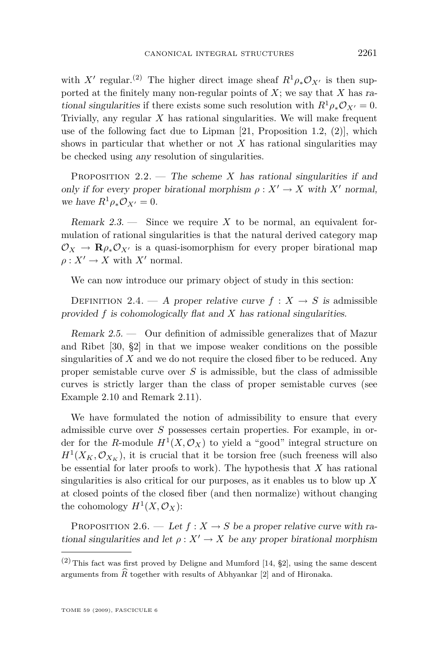<span id="page-7-0"></span>with  $X'$  regular.<sup>(2)</sup> The higher direct image sheaf  $R^1 \rho_* \mathcal{O}_{X'}$  is then supported at the finitely many non-regular points of *X*; we say that *X* has rational singularities if there exists some such resolution with  $R^1 \rho_* \mathcal{O}_{X'} = 0$ . Trivially, any regular *X* has rational singularities. We will make frequent use of the following fact due to Lipman  $[21,$  Proposition 1.2,  $(2)$ , which shows in particular that whether or not  $X$  has rational singularities may be checked using any resolution of singularities.

PROPOSITION 2.2. — The scheme *X* has rational singularities if and only if for every proper birational morphism  $\rho: X' \to X$  with X<sup>*i*</sup> normal, we have  $R^1 \rho_* \mathcal{O}_{X'} = 0$ .

Remark 2.3. — Since we require *X* to be normal, an equivalent formulation of rational singularities is that the natural derived category map  $\mathcal{O}_X \to \mathbf{R}\rho_* \mathcal{O}_{X'}$  is a quasi-isomorphism for every proper birational map  $\rho: X' \to X$  with  $X'$  normal.

We can now introduce our primary object of study in this section:

DEFINITION 2.4. — A proper relative curve  $f: X \rightarrow S$  is admissible provided *f* is cohomologically flat and *X* has rational singularities.

Remark 2.5. — Our definition of admissible generalizes that of Mazur and Ribet [\[30,](#page-46-0) §2] in that we impose weaker conditions on the possible singularities of *X* and we do not require the closed fiber to be reduced. Any proper semistable curve over *S* is admissible, but the class of admissible curves is strictly larger than the class of proper semistable curves (see Example [2.10](#page-10-0) and Remark [2.11\)](#page-10-0).

We have formulated the notion of admissibility to ensure that every admissible curve over *S* possesses certain properties. For example, in order for the *R*-module  $H^1(X, \mathcal{O}_X)$  to yield a "good" integral structure on  $H^1(X_K, \mathcal{O}_{X_K})$ , it is crucial that it be torsion free (such freeness will also be essential for later proofs to work). The hypothesis that *X* has rational singularities is also critical for our purposes, as it enables us to blow up *X* at closed points of the closed fiber (and then normalize) without changing the cohomology  $H^1(X, \mathcal{O}_X)$ :

PROPOSITION 2.6. — Let  $f: X \to S$  be a proper relative curve with rational singularities and let  $\rho: X' \to X$  be any proper birational morphism

 $(2)$  This fact was first proved by Deligne and Mumford [\[14,](#page-45-0) §2], using the same descent arguments from  $\widehat{R}$  together with results of Abhyankar [\[2\]](#page-45-0) and of Hironaka.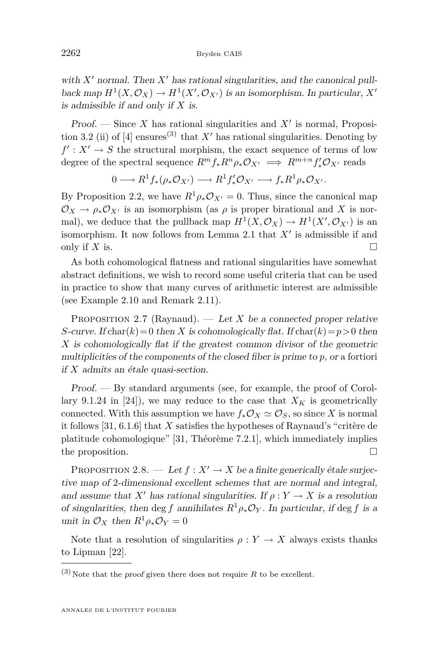<span id="page-8-0"></span>with  $X'$  normal. Then  $X'$  has rational singularities, and the canonical pullback map  $H^1(X, \mathcal{O}_X) \to H^1(X', \mathcal{O}_{X'})$  is an isomorphism. In particular,  $X'$ is admissible if and only if *X* is.

Proof. — Since  $X$  has rational singularities and  $X'$  is normal, Proposi-tion 3.2 (ii) of [\[4\]](#page-45-0) ensures<sup>(3)</sup> that  $X'$  has rational singularities. Denoting by  $f' : X' \to S$  the structural morphism, the exact sequence of terms of low degree of the spectral sequence  $R^m f_* R^n \rho_* \mathcal{O}_{X'} \implies R^{m+n} f'_* \mathcal{O}_{X'}$  reads

$$
0 \longrightarrow R^1f_*(\rho_*\mathcal{O}_{X'}) \longrightarrow R^1f'_*\mathcal{O}_{X'} \longrightarrow f_*R^1\rho_*\mathcal{O}_{X'}.
$$

By Proposition [2.2,](#page-7-0) we have  $R^1 \rho_* \mathcal{O}_{X} = 0$ . Thus, since the canonical map  $\mathcal{O}_X \to \rho_* \mathcal{O}_{X'}$  is an isomorphism (as  $\rho$  is proper birational and X is normal), we deduce that the pullback map  $H^1(X, \mathcal{O}_X) \to H^1(X', \mathcal{O}_{X'})$  is an isomorphism. It now follows from Lemma [2.1](#page-6-0) that  $X'$  is admissible if and only if  $X$  is.  $\Box$ 

As both cohomological flatness and rational singularities have somewhat abstract definitions, we wish to record some useful criteria that can be used in practice to show that many curves of arithmetic interest are admissible (see Example [2.10](#page-10-0) and Remark [2.11\)](#page-10-0).

PROPOSITION 2.7 (Raynaud). — Let *X* be a connected proper relative *S*-curve. If char( $k$ ) = 0 then *X* is cohomologically flat. If char( $k$ ) =  $p$  > 0 then *X* is cohomologically flat if the greatest common divisor of the geometric multiplicities of the components of the closed fiber is prime to *p*, or a fortiori if *X* admits an étale quasi-section.

Proof. — By standard arguments (see, for example, the proof of Corol-lary 9.1.24 in [\[24\]](#page-46-0)), we may reduce to the case that  $X_K$  is geometrically connected. With this assumption we have  $f_*\mathcal{O}_X \simeq \mathcal{O}_S$ , so since X is normal it follows [\[31,](#page-46-0) 6.1.6] that *X* satisfies the hypotheses of Raynaud's "critère de platitude cohomologique" [\[31,](#page-46-0) Théorème 7.2.1], which immediately implies the proposition.

PROPOSITION 2.8. — Let  $f: X' \to X$  be a finite generically étale surjective map of 2-dimensional excellent schemes that are normal and integral, and assume that *X'* has rational singularities. If  $\rho: Y \to X$  is a resolution of singularities, then deg f annihilates  $R^1 \rho_* \mathcal{O}_Y$ . In particular, if deg f is a unit in  $\mathcal{O}_X$  then  $R^1 \rho_* \mathcal{O}_Y = 0$ 

Note that a resolution of singularities  $\rho: Y \to X$  always exists thanks to Lipman [\[22\]](#page-46-0).

 $^{(3)}$  Note that the *proof* given there does not require  $R$  to be excellent.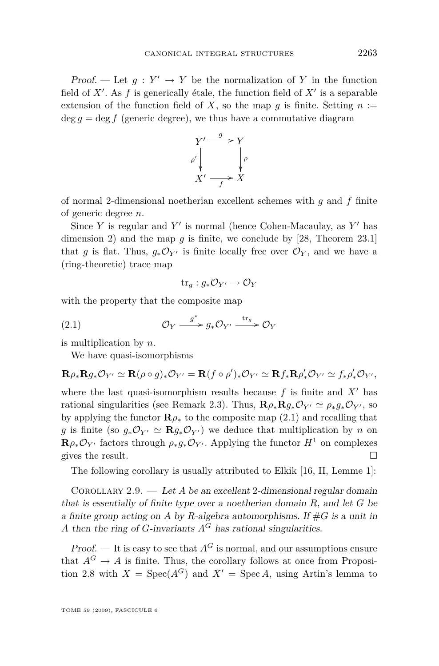<span id="page-9-0"></span>Proof. — Let  $g: Y' \to Y$  be the normalization of Y in the function field of  $X'$ . As  $f$  is generically étale, the function field of  $X'$  is a separable extension of the function field of X, so the map  $q$  is finite. Setting  $n :=$  $\deg q = \deg f$  (generic degree), we thus have a commutative diagram



of normal 2-dimensional noetherian excellent schemes with *g* and *f* finite of generic degree *n*.

Since *Y* is regular and  $Y'$  is normal (hence Cohen-Macaulay, as  $Y'$  has dimension 2) and the map  $g$  is finite, we conclude by [\[28,](#page-46-0) Theorem 23.1] that *g* is flat. Thus,  $g_*\mathcal{O}_{Y'}$  is finite locally free over  $\mathcal{O}_Y$ , and we have a (ring-theoretic) trace map

$$
\mathrm{tr}_g: g_* \mathcal{O}_{Y'} \to \mathcal{O}_Y
$$

with the property that the composite map

(2.1) 
$$
\mathcal{O}_Y \xrightarrow{g^*} g_* \mathcal{O}_{Y'} \xrightarrow{\text{tr}_g} \mathcal{O}_Y
$$

is multiplication by *n*.

We have quasi-isomorphisms

$$
\mathbf{R}\rho_*\mathbf{R}g_*\mathcal{O}_{Y'}\simeq\mathbf{R}(\rho\circ g)_*\mathcal{O}_{Y'}=\mathbf{R}(f\circ \rho')_*\mathcal{O}_{Y'}\simeq\mathbf{R}f_*\mathbf{R}\rho'_*\mathcal{O}_{Y'}\simeq f_*\rho'_*\mathcal{O}_{Y'},
$$

where the last quasi-isomorphism results because  $f$  is finite and  $X<sup>1</sup>$  has rational singularities (see Remark [2.3\)](#page-7-0). Thus,  $\mathbf{R}\rho_*\mathbf{R}q_*\mathcal{O}_{Y'} \simeq \rho_*q_*\mathcal{O}_{Y'}$ , so by applying the functor  $\mathbf{R}\rho_*$  to the composite map (2.1) and recalling that *g* is finite (so  $g_*\mathcal{O}_{Y'} \simeq \mathbf{R}g_*\mathcal{O}_{Y'}$ ) we deduce that multiplication by *n* on  $\mathbf{R}\rho_*\mathcal{O}_{Y'}$  factors through  $\rho_*q_*\mathcal{O}_{Y'}$ . Applying the functor  $H^1$  on complexes gives the result.

The following corollary is usually attributed to Elkik [\[16,](#page-45-0) II, Lemme 1]:

Corollary 2.9. — Let *A* be an excellent 2-dimensional regular domain that is essentially of finite type over a noetherian domain *R*, and let *G* be a finite group acting on A by R-algebra automorphisms. If  $#G$  is a unit in *A* then the ring of *G*-invariants  $A^G$  has rational singularities.

Proof. — It is easy to see that  $A^G$  is normal, and our assumptions ensure that  $A^G \to A$  is finite. Thus, the corollary follows at once from Proposi-tion [2.8](#page-8-0) with  $X = \text{Spec}(A^G)$  and  $X' = \text{Spec } A$ , using Artin's lemma to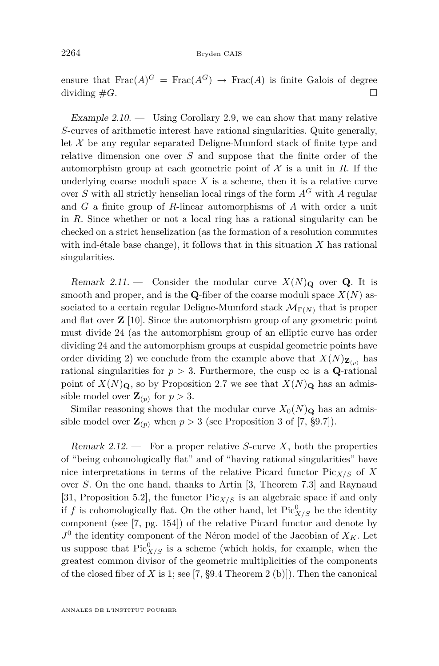<span id="page-10-0"></span>ensure that  $\text{Frac}(A)^G = \text{Frac}(A^G) \rightarrow \text{Frac}(A)$  is finite Galois of degree dividing  $\#G$ .

Example 2.10. — Using Corollary [2.9,](#page-9-0) we can show that many relative *S*-curves of arithmetic interest have rational singularities. Quite generally, let  $X$  be any regular separated Deligne-Mumford stack of finite type and relative dimension one over *S* and suppose that the finite order of the automorphism group at each geometric point of  $\mathcal X$  is a unit in  $R$ . If the underlying coarse moduli space  $X$  is a scheme, then it is a relative curve over  $S$  with all strictly henselian local rings of the form  $A^G$  with  $A$  regular and *G* a finite group of *R*-linear automorphisms of *A* with order a unit in *R*. Since whether or not a local ring has a rational singularity can be checked on a strict henselization (as the formation of a resolution commutes with ind-étale base change), it follows that in this situation *X* has rational singularities.

Remark 2.11. — Consider the modular curve  $X(N)_{\mathbf{Q}}$  over **Q**. It is smooth and proper, and is the **Q**-fiber of the coarse moduli space  $X(N)$  associated to a certain regular Deligne-Mumford stack  $\mathcal{M}_{\Gamma(N)}$  that is proper and flat over **Z** [\[10\]](#page-45-0). Since the automorphism group of any geometric point must divide 24 (as the automorphism group of an elliptic curve has order dividing 24 and the automorphism groups at cuspidal geometric points have order dividing 2) we conclude from the example above that  $X(N)_{\mathbf{Z}_{(p)}}$  has rational singularities for  $p > 3$ . Furthermore, the cusp  $\infty$  is a **Q**-rational point of  $X(N)_{\mathbf{Q}}$ , so by Proposition [2.7](#page-8-0) we see that  $X(N)_{\mathbf{Q}}$  has an admissible model over  $\mathbf{Z}_{(p)}$  for  $p > 3$ .

Similar reasoning shows that the modular curve  $X_0(N)_{\mathbf{Q}}$  has an admissible model over  $\mathbf{Z}_{(p)}$  when  $p > 3$  (see Proposition 3 of [\[7,](#page-45-0) §9.7]).

Remark 2.12.  $\longrightarrow$  For a proper relative *S*-curve *X*, both the properties of "being cohomologically flat" and of "having rational singularities" have nice interpretations in terms of the relative Picard functor  $Pic_{X/S}$  of X over *S*. On the one hand, thanks to Artin [\[3,](#page-45-0) Theorem 7.3] and Raynaud [\[31,](#page-46-0) Proposition 5.2], the functor Pic*X/S* is an algebraic space if and only if *f* is cohomologically flat. On the other hand, let  $Pic^0_{X/S}$  be the identity component (see [\[7,](#page-45-0) pg. 154]) of the relative Picard functor and denote by  $J^0$  the identity component of the Néron model of the Jacobian of  $X_K$ . Let us suppose that  $Pic^0_{X/S}$  is a scheme (which holds, for example, when the greatest common divisor of the geometric multiplicities of the components of the closed fiber of *X* is 1; see [\[7,](#page-45-0) §9.4 Theorem 2 (b)]). Then the canonical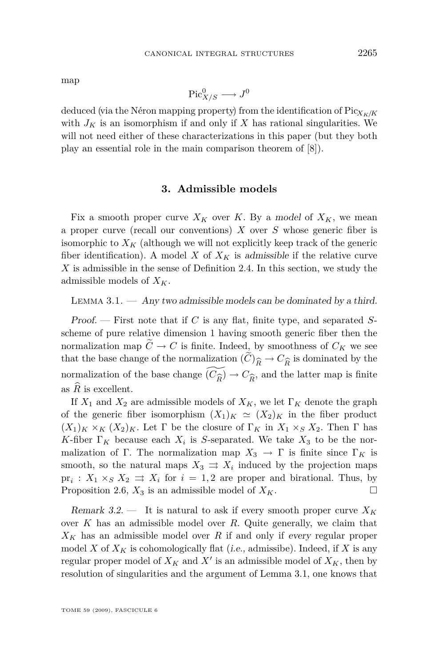<span id="page-11-0"></span>map

$$
\operatorname{Pic}^0_{X/S} \longrightarrow J^0
$$

deduced (via the Néron mapping property) from the identification of  $Pic_{X_K/K}$ with  $J_K$  is an isomorphism if and only if  $X$  has rational singularities. We will not need either of these characterizations in this paper (but they both play an essential role in the main comparison theorem of [\[8\]](#page-45-0)).

#### **3. Admissible models**

Fix a smooth proper curve  $X_K$  over K. By a model of  $X_K$ , we mean a proper curve (recall our conventions) *X* over *S* whose generic fiber is isomorphic to  $X_K$  (although we will not explicitly keep track of the generic fiber identification). A model *X* of  $X_K$  is admissible if the relative curve *X* is admissible in the sense of Definition [2.4.](#page-7-0) In this section, we study the admissible models of *XK*.

LEMMA  $3.1.$   $-$  Any two admissible models can be dominated by a third.

Proof. — First note that if *C* is any flat, finite type, and separated *S*scheme of pure relative dimension 1 having smooth generic fiber then the normalization map  $\widetilde{C} \to C$  is finite. Indeed, by smoothness of  $C_K$  we see that the base change of the normalization  $(C)_{\widehat{R}} \to C_{\widehat{R}}$  is dominated by the normalization of the base change  $(\widetilde{C_1}) \to C_2$  and the latter man is finite normalization of the base change  $(\widetilde{C_{\widehat{R}}}) \to C_{\widehat{R}}$ , and the latter map is finite<br>as  $\widehat{R}$  is excellent as  $R$  is excellent.

If  $X_1$  and  $X_2$  are admissible models of  $X_K$ , we let  $\Gamma_K$  denote the graph of the generic fiber isomorphism  $(X_1)_K \simeq (X_2)_K$  in the fiber product  $(X_1)_K \times_K (X_2)_K$ . Let  $\Gamma$  be the closure of  $\Gamma_K$  in  $X_1 \times_S X_2$ . Then  $\Gamma$  has *K*-fiber  $\Gamma_K$  because each  $X_i$  is *S*-separated. We take  $X_3$  to be the normalization of Γ. The normalization map  $X_3 \to \Gamma$  is finite since  $\Gamma_K$  is smooth, so the natural maps  $X_3 \implies X_i$  induced by the projection maps  $pr_i: X_1 \times_S X_2 \implies X_i$  for  $i = 1, 2$  are proper and birational. Thus, by Proposition [2.6,](#page-7-0)  $X_3$  is an admissible model of  $X_K$ .

Remark 3.2.  $\qquad$  It is natural to ask if every smooth proper curve  $X_K$ over *K* has an admissible model over *R*. Quite generally, we claim that  $X_K$  has an admissible model over *R* if and only if every regular proper model *X* of  $X_K$  is cohomologically flat (*i.e.*, admissibe). Indeed, if *X* is any regular proper model of  $X_K$  and  $X'$  is an admissible model of  $X_K$ , then by resolution of singularities and the argument of Lemma 3.1, one knows that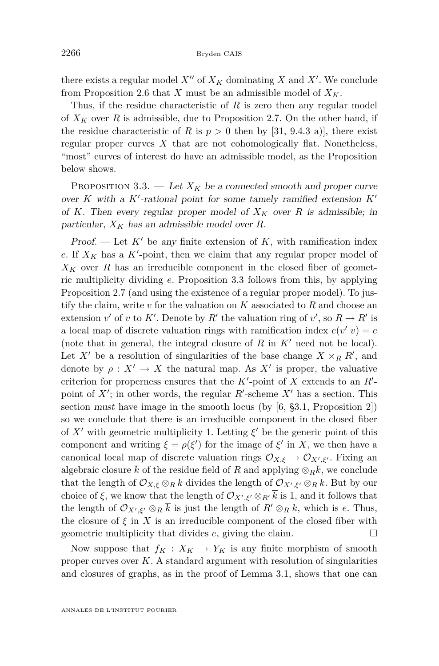<span id="page-12-0"></span>there exists a regular model  $X''$  of  $X_K$  dominating X and X<sup>*i*</sup>. We conclude from Proposition [2.6](#page-7-0) that *X* must be an admissible model of  $X_K$ .

Thus, if the residue characteristic of *R* is zero then any regular model of  $X_K$  over R is admissible, due to Proposition [2.7.](#page-8-0) On the other hand, if the residue characteristic of *R* is  $p > 0$  then by [\[31,](#page-46-0) 9.4.3 a)], there exist regular proper curves  $X$  that are not cohomologically flat. Nonetheless, "most" curves of interest do have an admissible model, as the Proposition below shows.

PROPOSITION 3.3. — Let  $X_K$  be a connected smooth and proper curve over  $K$  with a  $K'$ -rational point for some tamely ramified extension  $K'$ of *K*. Then every regular proper model of  $X_K$  over R is admissible; in particular,  $X_K$  has an admissible model over R.

Proof. — Let  $K'$  be any finite extension of  $K$ , with ramification index  $e$ . If  $X_K$  has a  $K'$ -point, then we claim that any regular proper model of  $X_K$  over  $R$  has an irreducible component in the closed fiber of geometric multiplicity dividing *e*. Proposition 3.3 follows from this, by applying Proposition [2.7](#page-8-0) (and using the existence of a regular proper model). To justify the claim, write *v* for the valuation on *K* associated to *R* and choose an extension *v*' of *v* to *K*'. Denote by *R*<sup>'</sup> the valuation ring of *v*', so *R*  $\rightarrow$  *R*<sup>'</sup> is a local map of discrete valuation rings with ramification index  $e(v'|v) = e$ (note that in general, the integral closure of  $R$  in  $K'$  need not be local). Let  $X'$  be a resolution of singularities of the base change  $X \times_R R'$ , and denote by  $\rho: X' \to X$  the natural map. As  $X'$  is proper, the valuative criterion for properness ensures that the  $K'$ -point of  $X$  extends to an  $R'$ point of  $X'$ ; in other words, the regular  $R'$ -scheme  $X'$  has a section. This section must have image in the smooth locus (by [\[6,](#page-45-0) §3.1, Proposition 2]) so we conclude that there is an irreducible component in the closed fiber of  $X'$  with geometric multiplicity 1. Letting  $\xi'$  be the generic point of this component and writing  $\xi = \rho(\xi')$  for the image of  $\xi'$  in X, we then have a canonical local map of discrete valuation rings  $\mathcal{O}_{X,\xi} \to \mathcal{O}_{X',\xi'}$ . Fixing an algebraic closure  $\bar{k}$  of the residue field of *R* and applying  $\otimes_R \bar{k}$ , we conclude that the length of  $\mathcal{O}_{X,\xi} \otimes_R k$  divides the length of  $\mathcal{O}_{X',\xi'} \otimes_R k$ . But by our choice of  $\xi$ , we know that the length of  $\mathcal{O}_{X',\xi'} \otimes_{R'} k$  is 1, and it follows that the length of  $\mathcal{O}_{X',\xi'} \otimes_R \overline{k}$  is just the length of  $R' \otimes_R k$ , which is *e*. Thus, the closure of  $\xi$  in X is an irreducible component of the closed fiber with geometric multiplicity that divides *e*, giving the claim.

Now suppose that  $f_K: X_K \to Y_K$  is any finite morphism of smooth proper curves over *K*. A standard argument with resolution of singularities and closures of graphs, as in the proof of Lemma [3.1,](#page-11-0) shows that one can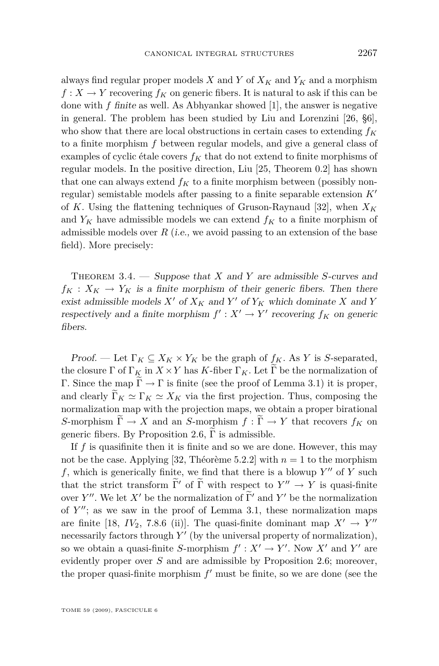<span id="page-13-0"></span>always find regular proper models *X* and *Y* of *X<sup>K</sup>* and *Y<sup>K</sup>* and a morphism  $f: X \to Y$  recovering  $f_K$  on generic fibers. It is natural to ask if this can be done with *f* finite as well. As Abhyankar showed [\[1\]](#page-45-0), the answer is negative in general. The problem has been studied by Liu and Lorenzini [\[26,](#page-46-0) §6], who show that there are local obstructions in certain cases to extending *f<sup>K</sup>* to a finite morphism *f* between regular models, and give a general class of examples of cyclic étale covers  $f_K$  that do not extend to finite morphisms of regular models. In the positive direction, Liu [\[25,](#page-46-0) Theorem 0.2] has shown that one can always extend  $f_K$  to a finite morphism between (possibly nonregular) semistable models after passing to a finite separable extension *K<sup>0</sup>* of *K*. Using the flattening techniques of Gruson-Raynaud [\[32\]](#page-46-0), when *X<sup>K</sup>* and  $Y_K$  have admissible models we can extend  $f_K$  to a finite morphism of admissible models over  $R$  (i.e., we avoid passing to an extension of the base field). More precisely:

Theorem 3.4. — Suppose that *X* and *Y* are admissible *S*-curves and  $f_K: X_K \to Y_K$  is a finite morphism of their generic fibers. Then there exist admissible models  $X'$  of  $X_K$  and  $Y'$  of  $Y_K$  which dominate  $X$  and  $Y$ respectively and a finite morphism  $f' : X' \to Y'$  recovering  $f_K$  on generic fibers.

Proof. — Let  $\Gamma_K \subseteq X_K \times Y_K$  be the graph of  $f_K$ . As *Y* is *S*-separated, the closure  $\Gamma$  of  $\Gamma_K$  in  $X \times Y$  has *K*-fiber  $\Gamma_K$ . Let  $\widetilde{\Gamma}$  be the normalization of Γ. Since the map  $\tilde{\Gamma} \to \Gamma$  is finite (see the proof of Lemma [3.1\)](#page-11-0) it is proper, and clearly  $\Gamma_K \simeq \Gamma_K \simeq X_K$  via the first projection. Thus, composing the normalization map with the projection maps, we obtain a proper birational *S*-morphism  $\Gamma \to X$  and an *S*-morphism  $f : \Gamma \to Y$  that recovers  $f_K$  on generic fibers. By Proposition [2.6,](#page-7-0)  $\Gamma$  is admissible.

If *f* is quasifinite then it is finite and so we are done. However, this may not be the case. Applying [\[32,](#page-46-0) Théorème 5.2.2] with  $n = 1$  to the morphism  $f$ , which is generically finite, we find that there is a blowup  $Y''$  of  $Y$  such that the strict transform  $\tilde{\Gamma}'$  of  $\tilde{\Gamma}$  with respect to  $Y'' \to Y$  is quasi-finite over *Y*<sup>*n*</sup>. We let *X'* be the normalization of  $\tilde{\Gamma}'$  and *Y'* be the normalization of  $Y''$ ; as we saw in the proof of Lemma [3.1,](#page-11-0) these normalization maps are finite [\[18,](#page-46-0)  $IV_2$ , 7.8.6 (ii)]. The quasi-finite dominant map  $X' \rightarrow Y''$ necessarily factors through  $Y'$  (by the universal property of normalization), so we obtain a quasi-finite *S*-morphism  $f' : X' \to Y'$ . Now X' and Y' are evidently proper over *S* and are admissible by Proposition [2.6;](#page-7-0) moreover, the proper quasi-finite morphism  $f'$  must be finite, so we are done (see the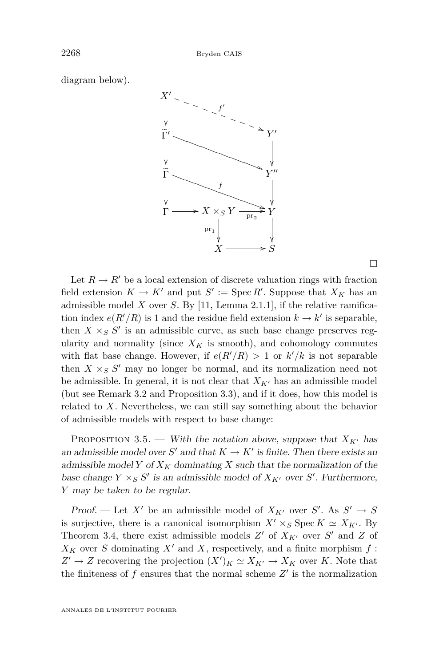<span id="page-14-0"></span>diagram below).



 $\Box$ 

Let  $R \to R'$  be a local extension of discrete valuation rings with fraction field extension  $K \to K'$  and put  $S' := \text{Spec } R'$ . Suppose that  $X_K$  has an admissible model *X* over *S*. By [\[11,](#page-45-0) Lemma 2.1.1], if the relative ramification index  $e(R'/R)$  is 1 and the residue field extension  $k \to k'$  is separable, then  $X \times_S S'$  is an admissible curve, as such base change preserves regularity and normality (since  $X_K$  is smooth), and cohomology commutes with flat base change. However, if  $e(R'/R) > 1$  or  $k'/k$  is not separable then  $X \times_S S'$  may no longer be normal, and its normalization need not be admissible. In general, it is not clear that  $X_{K}$  has an admissible model (but see Remark [3.2](#page-11-0) and Proposition [3.3\)](#page-12-0), and if it does, how this model is related to *X*. Nevertheless, we can still say something about the behavior of admissible models with respect to base change:

PROPOSITION 3.5. — With the notation above, suppose that  $X_{K'}$  has an admissible model over  $S'$  and that  $K \to K'$  is finite. Then there exists an admissible model *Y* of  $X_K$  dominating *X* such that the normalization of the base change  $Y \times_S S'$  is an admissible model of  $X_{K'}$  over  $S'$ . Furthermore, *Y* may be taken to be regular.

Proof. — Let X' be an admissible model of  $X_{K'}$  over S'. As  $S' \rightarrow S$ is surjective, there is a canonical isomorphism  $X' \times_S \text{Spec } K \simeq X_{K'}$ . By Theorem [3.4,](#page-13-0) there exist admissible models  $Z'$  of  $X_{K'}$  over  $S'$  and  $Z$  of  $X_K$  over *S* dominating  $X'$  and  $X$ , respectively, and a finite morphism  $f$ :  $Z' \to Z$  recovering the projection  $(X')_K \simeq X_{K'} \to X_K$  over *K*. Note that the finiteness of  $f$  ensures that the normal scheme  $Z'$  is the normalization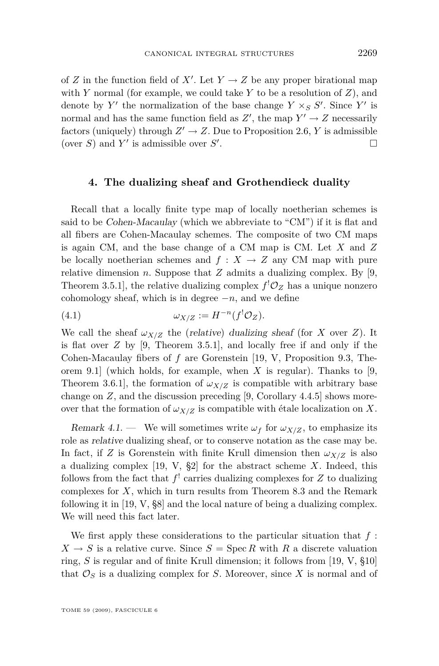<span id="page-15-0"></span>of *Z* in the function field of *X<sup>'</sup>*. Let  $Y \to Z$  be any proper birational map with *Y* normal (for example, we could take *Y* to be a resolution of *Z*), and denote by  $Y'$  the normalization of the base change  $Y \times_S S'$ . Since  $Y'$  is normal and has the same function field as  $Z'$ , the map  $Y' \to Z$  necessarily factors (uniquely) through  $Z' \to Z$ . Due to Proposition [2.6,](#page-7-0) *Y* is admissible (over *S*) and  $Y'$  is admissible over  $S'$ . В последните поставите на производите на селото на селото на селото на селото на селото на селото на селото<br>В селото на селото на селото на селото на селото на селото на селото на селото на селото на селото на селото н

#### **4. The dualizing sheaf and Grothendieck duality**

Recall that a locally finite type map of locally noetherian schemes is said to be Cohen-Macaulay (which we abbreviate to "CM") if it is flat and all fibers are Cohen-Macaulay schemes. The composite of two CM maps is again CM, and the base change of a CM map is CM. Let *X* and *Z* be locally noetherian schemes and  $f: X \to Z$  any CM map with pure relative dimension  $n$ . Suppose that  $Z$  admits a dualizing complex. By [\[9,](#page-45-0) Theorem 3.5.1], the relative dualizing complex  $f^!O_Z$  has a unique nonzero cohomology sheaf, which is in degree *−n*, and we define

(4.1) 
$$
\omega_{X/Z} := H^{-n}(f^{!}\mathcal{O}_{Z}).
$$

We call the sheaf  $\omega_{X/Z}$  the (relative) dualizing sheaf (for *X* over *Z*). It is flat over *Z* by [\[9,](#page-45-0) Theorem 3.5.1], and locally free if and only if the Cohen-Macaulay fibers of *f* are Gorenstein [\[19,](#page-46-0) V, Proposition 9.3, Theorem 9.1] (which holds, for example, when *X* is regular). Thanks to [\[9,](#page-45-0) Theorem 3.6.1], the formation of  $\omega_{X/Z}$  is compatible with arbitrary base change on *Z*, and the discussion preceding [\[9,](#page-45-0) Corollary 4.4.5] shows moreover that the formation of  $\omega_{X/Z}$  is compatible with étale localization on X.

Remark 4.1. — We will sometimes write  $\omega_f$  for  $\omega_{X/Z}$ , to emphasize its role as relative dualizing sheaf, or to conserve notation as the case may be. In fact, if *Z* is Gorenstein with finite Krull dimension then  $\omega_{X/Z}$  is also a dualizing complex [\[19,](#page-46-0) V, §2] for the abstract scheme *X*. Indeed, this follows from the fact that  $f'$  carries dualizing complexes for  $Z$  to dualizing complexes for *X*, which in turn results from Theorem 8.3 and the Remark following it in [\[19,](#page-46-0) V, §8] and the local nature of being a dualizing complex. We will need this fact later.

We first apply these considerations to the particular situation that *f* :  $X \to S$  is a relative curve. Since  $S = \text{Spec } R$  with R a discrete valuation ring, *S* is regular and of finite Krull dimension; it follows from [\[19,](#page-46-0) V, §10] that  $\mathcal{O}_S$  is a dualizing complex for *S*. Moreover, since *X* is normal and of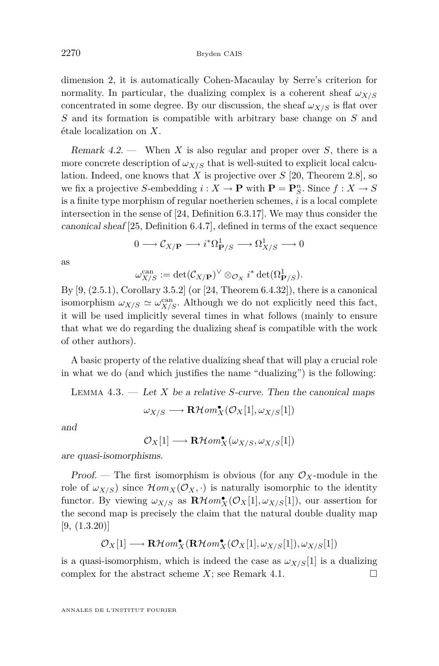<span id="page-16-0"></span>dimension 2, it is automatically Cohen-Macaulay by Serre's criterion for normality. In particular, the dualizing complex is a coherent sheaf  $\omega_{X/S}$ concentrated in some degree. By our discussion, the sheaf  $\omega_{X/S}$  is flat over *S* and its formation is compatible with arbitrary base change on *S* and étale localization on *X*.

Remark 4.2. — When *X* is also regular and proper over *S*, there is a more concrete description of  $\omega_{X/S}$  that is well-suited to explicit local calculation. Indeed, one knows that *X* is projective over *S* [\[20,](#page-46-0) Theorem 2.8], so we fix a projective *S*-embedding  $i: X \to \mathbf{P}$  with  $\mathbf{P} = \mathbf{P}_{S}^{n}$ . Since  $f: X \to S$ is a finite type morphism of regular noetherien schemes, *i* is a local complete intersection in the sense of [\[24,](#page-46-0) Definition 6.3.17]. We may thus consider the canonical sheaf [\[25,](#page-46-0) Definition 6.4.7], defined in terms of the exact sequence

$$
0 \longrightarrow \mathcal{C}_{X/\mathbf{P}} \longrightarrow i^*\Omega^1_{\mathbf{P}/S} \longrightarrow \Omega^1_{X/S} \longrightarrow 0
$$

as

$$
\omega_{X/S}^{\text{can}} := \det(\mathcal{C}_{X/\mathbf{P}})^{\vee} \otimes_{\mathcal{O}_X} i^* \det(\Omega^1_{\mathbf{P}/S}).
$$

By  $[9, (2.5.1),$  $[9, (2.5.1),$  Corollary 3.5.2 (or  $[24,$  Theorem 6.4.32), there is a canonical isomorphism  $\omega_{X/S} \simeq \omega_{X/S}^{\text{can}}$ . Although we do not explicitly need this fact, it will be used implicitly several times in what follows (mainly to ensure that what we do regarding the dualizing sheaf is compatible with the work of other authors).

A basic property of the relative dualizing sheaf that will play a crucial role in what we do (and which justifies the name "dualizing") is the following:

LEMMA  $4.3.$  — Let *X* be a relative *S*-curve. Then the canonical maps

$$
\omega_{X/S} \longrightarrow \mathbf{R}\mathcal{H}\mathit{om}^\bullet_X(\mathcal{O}_X[1], \omega_{X/S}[1])
$$

and

 $\mathcal{O}_X[1]$  *→* **R***Hom*<sup>•</sup><sub>*X*</sub>( $\omega_{X/S}, \omega_{X/S}[1]$ )

are quasi-isomorphisms.

Proof. — The first isomorphism is obvious (for any  $\mathcal{O}_X$ -module in the role of  $\omega_{X/S}$  since  $\mathcal{H}om_X(\mathcal{O}_X, \cdot)$  is naturally isomorphic to the identity functor. By viewing  $\omega_{X/S}$  as  $\mathbf{R}\mathcal{H}om_{X}^{\bullet}(\mathcal{O}_{X}[1], \omega_{X/S}[1])$ , our assertion for the second map is precisely the claim that the natural double duality map  $[9, (1.3.20)]$  $[9, (1.3.20)]$ 

$$
\mathcal{O}_X[1] \longrightarrow \mathbf{R}\mathcal{H}\mathit{om}^\bullet_X(\mathbf{R}\mathcal{H}\mathit{om}^\bullet_X(\mathcal{O}_X[1], \omega_{X/S}[1]), \omega_{X/S}[1])
$$

is a quasi-isomorphism, which is indeed the case as  $\omega_{X/S}[1]$  is a dualizing complex for the abstract scheme *X*; see Remark [4.1.](#page-15-0)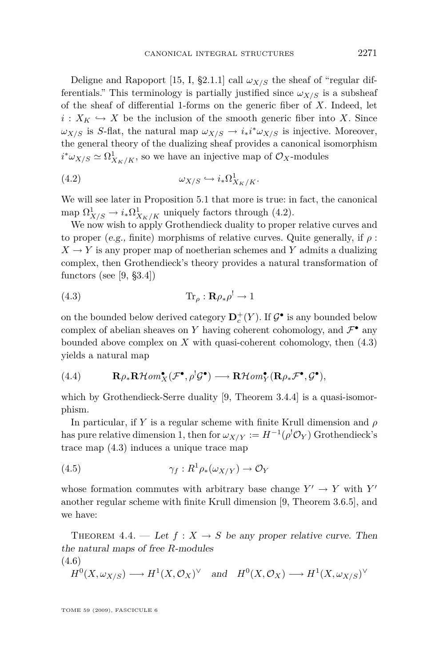<span id="page-17-0"></span>Deligne and Rapoport [\[15,](#page-45-0) I, §2.1.1] call  $\omega_{X/S}$  the sheaf of "regular differentials." This terminology is partially justified since  $\omega_{X/S}$  is a subsheaf of the sheaf of differential 1-forms on the generic fiber of *X*. Indeed, let  $i: X_K \hookrightarrow X$  be the inclusion of the smooth generic fiber into X. Since *ωX*/*S* is *S*-flat, the natural map  $ω$ *X*/*S*  $\rightarrow$  *i*<sub>*\*</sub>*<sup>*i*</sup><sup>*\*ω*</sup>*X*/*S* is injective. Moreover,</sub> the general theory of the dualizing sheaf provides a canonical isomorphism  $i^* \omega_{X/S} \simeq \Omega^1_{X_K/K}$ , so we have an injective map of  $\mathcal{O}_X$ -modules

$$
(4.2) \t\t\t\t\t\omega_{X/S} \hookrightarrow i_* \Omega^1_{X_K/K}.
$$

We will see later in Proposition [5.1](#page-22-0) that more is true: in fact, the canonical map  $\Omega^1_{X/S} \to i_* \Omega^1_{X_K/K}$  uniquely factors through (4.2).

We now wish to apply Grothendieck duality to proper relative curves and to proper (e.g., finite) morphisms of relative curves. Quite generally, if *ρ* :  $X \rightarrow Y$  is any proper map of noetherian schemes and *Y* admits a dualizing complex, then Grothendieck's theory provides a natural transformation of functors (see [\[9,](#page-45-0) §3.4])

(4.3) 
$$
\operatorname{Tr}_{\rho}: \mathbf{R}\rho_*\rho^! \to 1
$$

on the bounded below derived category  $\mathbf{D}_{c}^{+}(Y)$ . If  $\mathcal{G}^{\bullet}$  is any bounded below complex of abelian sheaves on *Y* having coherent cohomology, and  $\mathcal{F}^{\bullet}$  any bounded above complex on *X* with quasi-coherent cohomology, then (4.3) yields a natural map

(4.4) 
$$
\mathbf{R}\rho_*\mathbf{R}\mathcal{H}\text{om}^{\bullet}_X(\mathcal{F}^{\bullet},\rho^!\mathcal{G}^{\bullet})\longrightarrow \mathbf{R}\mathcal{H}\text{om}^{\bullet}_Y(\mathbf{R}\rho_*\mathcal{F}^{\bullet},\mathcal{G}^{\bullet}),
$$

which by Grothendieck-Serre duality [\[9,](#page-45-0) Theorem 3.4.4] is a quasi-isomorphism.

In particular, if *Y* is a regular scheme with finite Krull dimension and *ρ* has pure relative dimension 1, then for  $\omega_{X/Y} := H^{-1}(\rho^! \mathcal{O}_Y)$  Grothendieck's trace map (4.3) induces a unique trace map

(4.5) 
$$
\gamma_f: R^1 \rho_* (\omega_{X/Y}) \to \mathcal{O}_Y
$$

whose formation commutes with arbitrary base change  $Y' \to Y$  with  $Y'$ another regular scheme with finite Krull dimension [\[9,](#page-45-0) Theorem 3.6.5], and we have:

THEOREM 4.4. — Let  $f: X \to S$  be any proper relative curve. Then the natural maps of free *R*-modules (4.6)

$$
H^0(X, \omega_{X/S}) \longrightarrow H^1(X, \mathcal{O}_X)^{\vee}
$$
 and  $H^0(X, \mathcal{O}_X) \longrightarrow H^1(X, \omega_{X/S})^{\vee}$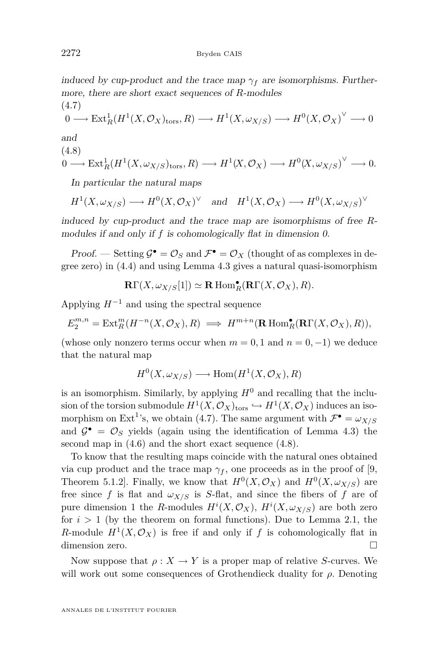induced by cup-product and the trace map  $\gamma_f$  are isomorphisms. Furthermore, there are short exact sequences of *R*-modules

$$
(4.7)
$$
  

$$
0 \longrightarrow \text{Ext}^1_R(H^1(X, \mathcal{O}_X)_{\text{tors}}, R) \longrightarrow H^1(X, \omega_{X/S}) \longrightarrow H^0(X, \mathcal{O}_X)^{\vee} \longrightarrow 0
$$

and

$$
(4.8)
$$
  
  $0 \longrightarrow \text{Ext}^1_R(H^1(X, \omega_{X/S})_{\text{tors}}, R) \longrightarrow H^1(X, \mathcal{O}_X) \longrightarrow H^0(X, \omega_{X/S})^{\vee} \longrightarrow 0.$ 

In particular the natural maps

$$
H^1(X, \omega_{X/S}) \longrightarrow H^0(X, \mathcal{O}_X)^{\vee}
$$
 and  $H^1(X, \mathcal{O}_X) \longrightarrow H^0(X, \omega_{X/S})^{\vee}$ 

induced by cup-product and the trace map are isomorphisms of free *R*modules if and only if f is cohomologically flat in dimension 0.

Proof. — Setting  $\mathcal{G}^{\bullet} = \mathcal{O}_S$  and  $\mathcal{F}^{\bullet} = \mathcal{O}_X$  (thought of as complexes in degree zero) in [\(4.4\)](#page-17-0) and using Lemma [4.3](#page-16-0) gives a natural quasi-isomorphism

$$
\mathbf{R}\Gamma(X,\omega_{X/S}[1]) \simeq \mathbf{R}\operatorname{Hom}_R^{\bullet}(\mathbf{R}\Gamma(X,\mathcal{O}_X),R).
$$

Applying *H<sup>−</sup>*<sup>1</sup> and using the spectral sequence

$$
E_2^{m,n} = \text{Ext}^m_R(H^{-n}(X, \mathcal{O}_X), R) \implies H^{m+n}(\mathbf{R} \text{ Hom}^{\bullet}_R(\mathbf{R}\Gamma(X, \mathcal{O}_X), R)),
$$

(whose only nonzero terms occur when  $m = 0, 1$  and  $n = 0, -1$ ) we deduce that the natural map

$$
H^0(X, \omega_{X/S}) \longrightarrow \text{Hom}(H^1(X, \mathcal{O}_X), R)
$$

is an isomorphism. Similarly, by applying  $H^0$  and recalling that the inclusion of the torsion submodule  $H^1(X, \mathcal{O}_X)_{\text{tors}} \hookrightarrow H^1(X, \mathcal{O}_X)$  induces an isomorphism on Ext<sup>1</sup>'s, we obtain (4.7). The same argument with  $\mathcal{F}^{\bullet} = \omega_{X/S}$ and  $\mathcal{G}^{\bullet} = \mathcal{O}_S$  yields (again using the identification of Lemma [4.3\)](#page-16-0) the second map in [\(4.6\)](#page-17-0) and the short exact sequence (4.8).

To know that the resulting maps coincide with the natural ones obtained via cup product and the trace map  $\gamma_f$ , one proceeds as in the proof of [\[9,](#page-45-0) Theorem 5.1.2. Finally, we know that  $H^0(X, \mathcal{O}_X)$  and  $H^0(X, \omega_{X/S})$  are free since f is flat and  $\omega_{X/S}$  is S-flat, and since the fibers of f are of pure dimension 1 the *R*-modules  $H^{i}(X, \mathcal{O}_{X}), H^{i}(X, \omega_{X/S})$  are both zero for  $i > 1$  (by the theorem on formal functions). Due to Lemma [2.1,](#page-6-0) the *R*-module  $H^1(X, \mathcal{O}_X)$  is free if and only if *f* is cohomologically flat in dimension zero.  $\Box$ 

Now suppose that  $\rho: X \to Y$  is a proper map of relative *S*-curves. We will work out some consequences of Grothendieck duality for *ρ*. Denoting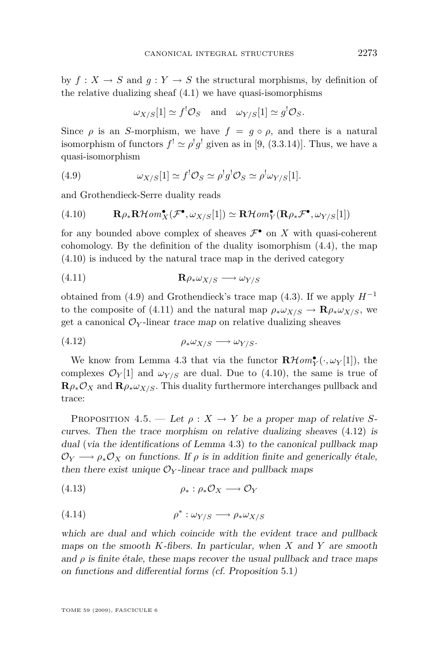<span id="page-19-0"></span>by  $f: X \to S$  and  $q: Y \to S$  the structural morphisms, by definition of the relative dualizing sheaf [\(4.1\)](#page-15-0) we have quasi-isomorphisms

$$
\omega_{X/S}[1] \simeq f^{!}\mathcal{O}_{S}
$$
 and  $\omega_{Y/S}[1] \simeq g^{!}\mathcal{O}_{S}$ .

Since  $\rho$  is an *S*-morphism, we have  $f = g \circ \rho$ , and there is a natural isomorphism of functors  $f' \simeq \rho' g'$  given as in [\[9,](#page-45-0) (3.3.14)]. Thus, we have a quasi-isomorphism

(4.9) 
$$
\omega_{X/S}[1] \simeq f^! \mathcal{O}_S \simeq \rho^! g^! \mathcal{O}_S \simeq \rho^! \omega_{Y/S}[1].
$$

and Grothendieck-Serre duality reads

(4.10) 
$$
\mathbf{R}\rho_*\mathbf{R}\mathcal{H}\text{om}^{\bullet}_X(\mathcal{F}^{\bullet}, \omega_{X/S}[1]) \simeq \mathbf{R}\mathcal{H}\text{om}^{\bullet}_Y(\mathbf{R}\rho_*\mathcal{F}^{\bullet}, \omega_{Y/S}[1])
$$

for any bounded above complex of sheaves  $\mathcal{F}^{\bullet}$  on X with quasi-coherent cohomology. By the definition of the duality isomorphism [\(4.4\)](#page-17-0), the map (4.10) is induced by the natural trace map in the derived category

$$
(4.11)\qquad \qquad \mathbf{R}\rho_*\omega_{X/S}\longrightarrow\omega_{Y/S}
$$

obtained from (4.9) and Grothendieck's trace map [\(4.3\)](#page-17-0). If we apply *H<sup>−</sup>*<sup>1</sup> to the composite of (4.11) and the natural map  $\rho_* \omega_{X/S} \to \mathbf{R} \rho_* \omega_{X/S}$ , we get a canonical  $\mathcal{O}_Y$ -linear trace map on relative dualizing sheaves

$$
(4.12) \t\t \rho_* \omega_{X/S} \longrightarrow \omega_{Y/S}.
$$

We know from Lemma [4.3](#page-16-0) that via the functor  $\mathbf{R}\mathcal{H}om_{Y}^{\bullet}(\cdot,\omega_{Y}[1])$ , the complexes  $\mathcal{O}_Y[1]$  and  $\omega_{Y/S}$  are dual. Due to (4.10), the same is true of  $\mathbf{R}\rho_*\mathcal{O}_X$  and  $\mathbf{R}\rho_*\omega_{X/S}$ . This duality furthermore interchanges pullback and trace:

PROPOSITION 4.5. — Let  $\rho: X \to Y$  be a proper map of relative *S*curves. Then the trace morphism on relative dualizing sheaves (4*.*12) is dual (via the identifications of Lemma 4*.*[3\)](#page-16-0) to the canonical pullback map  $\mathcal{O}_Y \longrightarrow \rho_* \mathcal{O}_X$  on functions. If  $\rho$  is in addition finite and generically étale, then there exist unique  $\mathcal{O}_Y$ -linear trace and pullback maps

$$
(4.13) \qquad \qquad \rho_* : \rho_* \mathcal{O}_X \longrightarrow \mathcal{O}_Y
$$

$$
\rho^* : \omega_{Y/S} \longrightarrow \rho_* \omega_{X/S}
$$

which are dual and which coincide with the evident trace and pullback maps on the smooth *K*-fibers. In particular, when *X* and *Y* are smooth and  $\rho$  is finite étale, these maps recover the usual pullback and trace maps on functions and differential forms (cf. Proposition [5](#page-22-0)*.*1)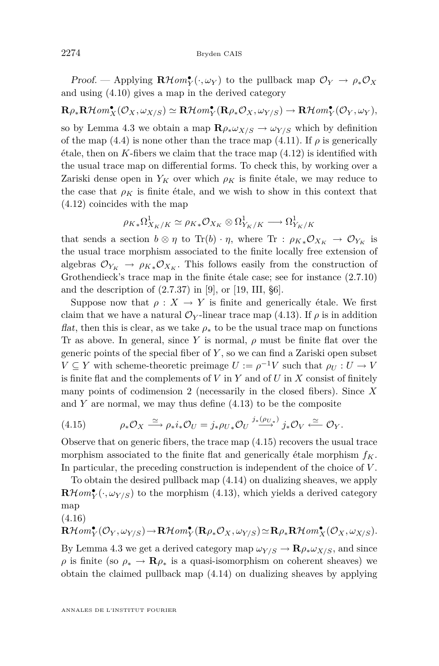Proof. — Applying  $\mathbb{R}\mathcal{H}$ *om*<sup>•</sup><sub>*Y*</sub></sub> $(\cdot, \omega_Y)$  to the pullback map  $\mathcal{O}_Y \to \rho_* \mathcal{O}_X$ and using [\(4.10\)](#page-19-0) gives a map in the derived category

 $\mathbf{R}\rho_*\mathbf{R}\mathcal{H}\mathit{om}^\bullet_X(\mathcal{O}_X,\omega_{X/S})\simeq \mathbf{R}\mathcal{H}\mathit{om}^\bullet_Y(\mathbf{R}\rho_*\mathcal{O}_X,\omega_{Y/S})\to \mathbf{R}\mathcal{H}\mathit{om}^\bullet_Y(\mathcal{O}_Y,\omega_Y),$ so by Lemma [4.3](#page-16-0) we obtain a map  $\mathbf{R}\rho_*\omega_{X/S} \to \omega_{Y/S}$  which by definition of the map  $(4.4)$  is none other than the trace map  $(4.11)$ . If  $\rho$  is generically  $\ell$  etale, then on K-fibers we claim that the trace map  $(4.12)$  is identified with the usual trace map on differential forms. To check this, by working over a Zariski dense open in  $Y_K$  over which  $\rho_K$  is finite étale, we may reduce to the case that  $\rho_K$  is finite étale, and we wish to show in this context that [\(4.12\)](#page-19-0) coincides with the map

$$
\rho_{K*}\Omega^1_{X_K/K}\simeq \rho_{K*}{\mathcal O}_{X_K}\otimes \Omega^1_{Y_K/K}\longrightarrow \Omega^1_{Y_K/K}
$$

that sends a section  $b \otimes \eta$  to Tr(b)  $\cdot \eta$ , where Tr :  $\rho_{K*} \mathcal{O}_{X_K} \to \mathcal{O}_{Y_K}$  is the usual trace morphism associated to the finite locally free extension of algebras  $\mathcal{O}_{Y_K} \to \rho_{K*} \mathcal{O}_{X_K}$ . This follows easily from the construction of Grothendieck's trace map in the finite étale case; see for instance (2.7.10) and the description of  $(2.7.37)$  in [\[9\]](#page-45-0), or [\[19,](#page-46-0) III, §6].

Suppose now that  $\rho: X \to Y$  is finite and generically étale. We first claim that we have a natural  $\mathcal{O}_Y$ -linear trace map [\(4.13\)](#page-19-0). If  $\rho$  is in addition *flat*, then this is clear, as we take  $\rho_*$  to be the usual trace map on functions Tr as above. In general, since *Y* is normal, *ρ* must be finite flat over the generic points of the special fiber of *Y* , so we can find a Zariski open subset  $V \subseteq Y$  with scheme-theoretic preimage  $U := \rho^{-1}V$  such that  $\rho_U : U \to V$ is finite flat and the complements of *V* in *Y* and of *U* in *X* consist of finitely many points of codimension 2 (necessarily in the closed fibers). Since *X* and *Y* are normal, we may thus define [\(4.13\)](#page-19-0) to be the composite

(4.15) 
$$
\rho_* \mathcal{O}_X \xrightarrow{\simeq} \rho_* i_* \mathcal{O}_U = j_* \rho_{U*} \mathcal{O}_U \xrightarrow{j_* (\rho_{U*})} j_* \mathcal{O}_V \xleftarrow{\simeq} \mathcal{O}_Y.
$$

Observe that on generic fibers, the trace map (4.15) recovers the usual trace morphism associated to the finite flat and generically étale morphism *fK*. In particular, the preceding construction is independent of the choice of *V* .

To obtain the desired pullback map [\(4.14\)](#page-19-0) on dualizing sheaves, we apply  $\mathbf{R}\mathcal{H}\mathit{om}^{\bullet}_{Y}(\cdot,\omega_{Y/S})$  to the morphism [\(4.13\)](#page-19-0), which yields a derived category map

(4.16)

$$
\mathbf{R}\mathcal{H}\mathit{om}^\bullet_Y(\mathcal{O}_Y,\omega_{Y/S})\!\rightarrow\!\mathbf{R}\mathcal{H}\mathit{om}^\bullet_Y(\mathbf{R}\rho_*\mathcal{O}_X,\omega_{Y/S})\!\simeq\!\mathbf{R}\rho_*\mathbf{R}\mathcal{H}\mathit{om}^\bullet_X(\mathcal{O}_X,\omega_{X/S}).
$$

By Lemma [4.3](#page-16-0) we get a derived category map  $\omega_{Y/S} \to \mathbf{R} \rho_* \omega_{X/S}$ , and since *ρ* is finite (so  $\rho_* \to \mathbf{R}\rho_*$  is a quasi-isomorphism on coherent sheaves) we obtain the claimed pullback map [\(4.14\)](#page-19-0) on dualizing sheaves by applying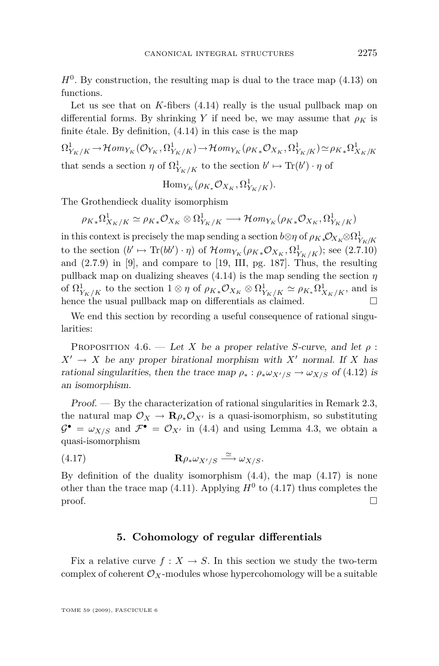<span id="page-21-0"></span> $H<sup>0</sup>$ . By construction, the resulting map is dual to the trace map  $(4.13)$  on functions.

Let us see that on *K*-fibers [\(4.14\)](#page-19-0) really is the usual pullback map on differential forms. By shrinking *Y* if need be, we may assume that  $\rho_K$  is finite étale. By definition, [\(4.14\)](#page-19-0) in this case is the map

 $\Omega^1_{Y_K/K} \to \mathcal{H}om_{Y_K}(\mathcal{O}_{Y_K}, \Omega^1_{Y_K/K}) \to \mathcal{H}om_{Y_K}(\rho_{K*}\mathcal{O}_{X_K}, \Omega^1_{Y_K/K}) \simeq \rho_{K*}\Omega^1_{X_K/K}$ that sends a section  $\eta$  of  $\Omega^1_{Y_K/K}$  to the section  $b' \mapsto \text{Tr}(b') \cdot \eta$  of

 $\text{Hom}_{Y_K}(\rho_{K_*}\mathcal{O}_{X_K}, \Omega^1_{Y_K/K}).$ 

The Grothendieck duality isomorphism

 $\rho_{K*}\Omega^1_{X_K/K}\simeq \rho_{K*}{\mathcal O}_{X_K}\otimes \Omega^1_{Y_K/K} \longrightarrow \mathcal{H}om_{Y_K}(\rho_{K*}{\mathcal O}_{X_K}, \Omega^1_{Y_K/K})$ 

 $i$  in this context is precisely the map sending a section  $b \otimes \eta$  of  $\rho_{K*} \mathcal{O}_{X_K} \otimes \Omega^1_{Y_K/K}$ to the section  $(b' \mapsto \text{Tr}(bb') \cdot \eta)$  of  $\mathcal{H}om_{Y_K}(\rho_{K*} \mathcal{O}_{X_K}, \Omega^1_{Y_K/K})$ ; see (2.7.10) and  $(2.7.9)$  in [\[9\]](#page-45-0), and compare to [\[19,](#page-46-0) III, pg. 187]. Thus, the resulting pullback map on dualizing sheaves  $(4.14)$  is the map sending the section  $\eta$ of  $\Omega^1_{Y_K/K}$  to the section  $1 \otimes \eta$  of  $\rho_{K*} \mathcal{O}_{X_K} \otimes \Omega^1_{Y_K/K} \simeq \rho_{K*} \Omega^1_{X_K/K}$ , and is hence the usual pullback map on differentials as claimed.

We end this section by recording a useful consequence of rational singularities:

PROPOSITION 4.6. — Let *X* be a proper relative *S*-curve, and let  $\rho$ :  $X' \rightarrow X$  be any proper birational morphism with X<sup>*i*</sup> normal. If X has rational singularities, then the trace map  $\rho_* : \rho_* \omega_{X/S} \to \omega_{X/S}$  of (4.[12\)](#page-19-0) is an isomorphism.

Proof. — By the characterization of rational singularities in Remark [2.3,](#page-7-0) the natural map  $\mathcal{O}_X \to \mathbf{R}\rho_* \mathcal{O}_{X'}$  is a quasi-isomorphism, so substituting  $\mathcal{G}^{\bullet} = \omega_{X/S}$  and  $\mathcal{F}^{\bullet} = \mathcal{O}_{X'}$  in [\(4.4\)](#page-17-0) and using Lemma [4.3,](#page-16-0) we obtain a quasi-isomorphism

$$
\mathbf{R}\rho_*\omega_{X'/S} \stackrel{\simeq}{\longrightarrow} \omega_{X/S}.
$$

By definition of the duality isomorphism  $(4.4)$ , the map  $(4.17)$  is none other than the trace map  $(4.11)$ . Applying  $H^0$  to  $(4.17)$  thus completes the  $\Box$ 

#### **5. Cohomology of regular differentials**

Fix a relative curve  $f: X \to S$ . In this section we study the two-term complex of coherent  $\mathcal{O}_X$ -modules whose hypercohomology will be a suitable

TOME 59 (2009), FASCICULE 6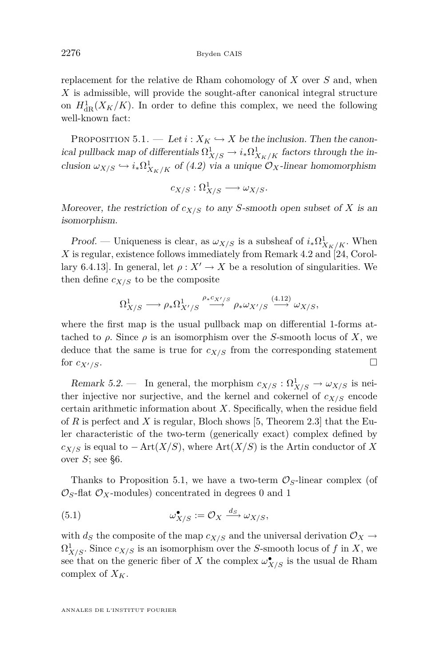<span id="page-22-0"></span>replacement for the relative de Rham cohomology of *X* over *S* and, when *X* is admissible, will provide the sought-after canonical integral structure on  $H^1_{\text{dR}}(X_K/K)$ . In order to define this complex, we need the following well-known fact:

PROPOSITION 5.1. — Let  $i: X_K \hookrightarrow X$  be the inclusion. Then the canonical pullback map of differentials  $\Omega^1_{X/S} \to i_* \Omega^1_{X_K/K}$  factors through the inclusion  $\omega_{X/S} \hookrightarrow i_* \Omega^1_{X_K/K}$  of [\(4.2\)](#page-17-0) via a unique  $\mathcal{O}_X$ -linear homomorphism

 $c_{X/S}: \Omega^1_{X/S} \longrightarrow \omega_{X/S}.$ 

Moreover, the restriction of  $c_{X/S}$  to any *S*-smooth open subset of *X* is an isomorphism.

Proof. — Uniqueness is clear, as  $\omega_{X/S}$  is a subsheaf of  $i_* \Omega^1_{X_K/K}$ . When *X* is regular, existence follows immediately from Remark [4.2](#page-16-0) and [\[24,](#page-46-0) Corollary 6.4.13]. In general, let  $\rho: X' \to X$  be a resolution of singularities. We then define  $c_{X/S}$  to be the composite

$$
\Omega^1_{X/S} \longrightarrow \rho_*\Omega^1_{X'/S} \stackrel{\rho_* c_{X'/S}}{\longrightarrow} \rho_* \omega_{X'/S} \stackrel{(4.12)}{\longrightarrow} \omega_{X/S},
$$

where the first map is the usual pullback map on differential 1-forms attached to  $\rho$ . Since  $\rho$  is an isomorphism over the *S*-smooth locus of *X*, we deduce that the same is true for  $c_{X/S}$  from the corresponding statement for  $c_{X'/S}$ .

Remark 5.2. — In general, the morphism  $c_{X/S} : \Omega^1_{X/S} \to \omega_{X/S}$  is neither injective nor surjective, and the kernel and cokernel of  $c_{X/S}$  encode certain arithmetic information about *X*. Specifically, when the residue field of *R* is perfect and *X* is regular, Bloch shows [\[5,](#page-45-0) Theorem 2.3] that the Euler characteristic of the two-term (generically exact) complex defined by *c*<sub>*X/S*</sub> is equal to *−* Art(*X/S*), where Art(*X/S*) is the Artin conductor of *X* over *S*; see [§6.](#page-32-0)

Thanks to Proposition 5.1, we have a two-term  $\mathcal{O}_S$ -linear complex (of  $\mathcal{O}_S$ -flat  $\mathcal{O}_X$ -modules) concentrated in degrees 0 and 1

(5.1) 
$$
\omega_{X/S}^{\bullet} := \mathcal{O}_X \xrightarrow{d_S} \omega_{X/S},
$$

with  $d_S$  the composite of the map  $c_{X/S}$  and the universal derivation  $\mathcal{O}_X \rightarrow$  $\Omega^1_{X/S}$ . Since  $c_{X/S}$  is an isomorphism over the *S*-smooth locus of *f* in *X*, we see that on the generic fiber of *X* the complex  $\omega^{\bullet}_{X/S}$  is the usual de Rham complex of  $X_K$ .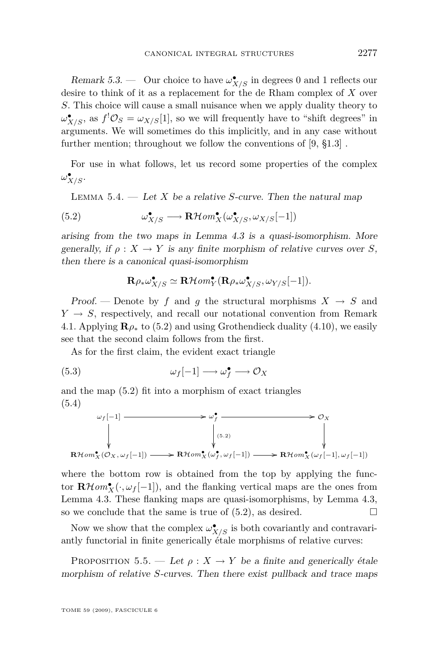<span id="page-23-0"></span>Remark 5.3. — Our choice to have  $\omega_{X/S}^{\bullet}$  in degrees 0 and 1 reflects our desire to think of it as a replacement for the de Rham complex of *X* over *S*. This choice will cause a small nuisance when we apply duality theory to  $\omega_{X/S}^{\bullet}$ , as  $f^! \mathcal{O}_S = \omega_{X/S}[1]$ , so we will frequently have to "shift degrees" in arguments. We will sometimes do this implicitly, and in any case without further mention; throughout we follow the conventions of [\[9,](#page-45-0) §1.3] .

For use in what follows, let us record some properties of the complex  $\omega_{X/S}^{\bullet}$ .

Lemma 5.4. — Let *X* be a relative *S*-curve. Then the natural map

(5.2) 
$$
\omega_{X/S}^{\bullet} \longrightarrow \mathbf{R}\mathcal{H}om_{X}^{\bullet}(\omega_{X/S}^{\bullet}, \omega_{X/S}[-1])
$$

arising from the two maps in Lemma [4.3](#page-16-0) is a quasi-isomorphism. More generally, if  $\rho: X \to Y$  is any finite morphism of relative curves over *S*, then there is a canonical quasi-isomorphism

$$
\mathbf{R}\rho_*\omega_{X/S}^{\bullet} \simeq \mathbf{R}\mathcal{H}om_{Y}^{\bullet}(\mathbf{R}\rho_*\omega_{X/S}^{\bullet}, \omega_{Y/S}[-1]).
$$

Proof. — Denote by f and q the structural morphisms  $X \rightarrow S$  and  $Y \rightarrow S$ , respectively, and recall our notational convention from Remark [4.1.](#page-15-0) Applying  $\mathbf{R}\rho_*$  to (5.2) and using Grothendieck duality [\(4.10\)](#page-19-0), we easily see that the second claim follows from the first.

As for the first claim, the evident exact triangle

$$
\omega_f[-1] \longrightarrow \omega_f^{\bullet} \longrightarrow \mathcal{O}_X
$$

and the map (5.2) fit into a morphism of exact triangles (5.4)

$$
\omega_f[-1] \longrightarrow \omega_f^{\bullet} \longrightarrow \mathcal{O}_X
$$
\n
$$
\downarrow \qquad \qquad \downarrow \qquad \qquad \downarrow \qquad \qquad \downarrow \qquad \qquad \downarrow
$$
\n
$$
\mathbf{R} \text{Hom}_X^{\bullet}(\mathcal{O}_X, \omega_f[-1]) \longrightarrow \mathbf{R} \text{Hom}_X^{\bullet}(\omega_f^{\bullet}, \omega_f[-1]) \longrightarrow \mathbf{R} \text{Hom}_X^{\bullet}(\omega_f[-1], \omega_f[-1])
$$

where the bottom row is obtained from the top by applying the functor  $\mathbf{R}\mathcal{H}om_{X}^{\bullet}(\cdot,\omega_{f}[-1])$ , and the flanking vertical maps are the ones from Lemma [4.3.](#page-16-0) These flanking maps are quasi-isomorphisms, by Lemma [4.3,](#page-16-0) so we conclude that the same is true of  $(5.2)$ , as desired.

Now we show that the complex  $\omega_{X/S}^{\bullet}$  is both covariantly and contravariantly functorial in finite generically étale morphisms of relative curves:

PROPOSITION 5.5. — Let  $\rho: X \to Y$  be a finite and generically étale morphism of relative *S*-curves. Then there exist pullback and trace maps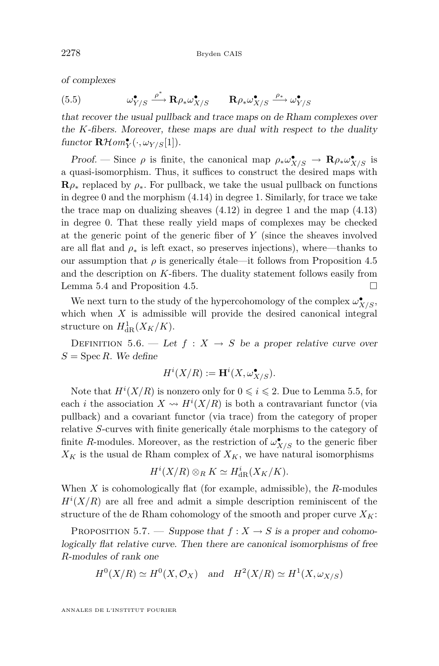<span id="page-24-0"></span>of complexes

(5.5) 
$$
\omega_{Y/S}^{\bullet} \xrightarrow{\rho^*} \mathbf{R} \rho_* \omega_{X/S}^{\bullet} \qquad \mathbf{R} \rho_* \omega_{X/S}^{\bullet} \xrightarrow{\rho_*} \omega_{Y/S}^{\bullet}
$$

that recover the usual pullback and trace maps on de Rham complexes over the *K*-fibers. Moreover, these maps are dual with respect to the duality  $function \mathbf{R}\mathcal{H}om_{Y}^{\bullet}(\cdot,\omega_{Y/S}[1]).$ 

Proof. — Since  $\rho$  is finite, the canonical map  $\rho_* \omega_{X/S}^{\bullet} \to \mathbf{R} \rho_* \omega_{X/S}^{\bullet}$  is a quasi-isomorphism. Thus, it suffices to construct the desired maps with  $\mathbf{R}\rho_*$  replaced by  $\rho_*$ . For pullback, we take the usual pullback on functions in degree 0 and the morphism  $(4.14)$  in degree 1. Similarly, for trace we take the trace map on dualizing sheaves  $(4.12)$  in degree 1 and the map  $(4.13)$ in degree 0. That these really yield maps of complexes may be checked at the generic point of the generic fiber of *Y* (since the sheaves involved are all flat and  $\rho_*$  is left exact, so preserves injections), where—thanks to our assumption that  $\rho$  is generically étale—it follows from Proposition [4.5](#page-19-0) and the description on *K*-fibers. The duality statement follows easily from Lemma [5.4](#page-23-0) and Proposition [4.5.](#page-19-0)

We next turn to the study of the hypercohomology of the complex  $\omega_{X/S}^{\bullet}$ , which when *X* is admissible will provide the desired canonical integral structure on  $H^1_{\text{dR}}(X_K/K)$ .

DEFINITION 5.6. — Let  $f: X \rightarrow S$  be a proper relative curve over  $S = \operatorname{Spec} R$ . We define

$$
H^i(X/R) := \mathbf{H}^i(X, \omega_{X/S}^{\bullet}).
$$

Note that  $H^i(X/R)$  is nonzero only for  $0 \leq i \leq 2$ . Due to Lemma [5.5,](#page-23-0) for each *i* the association  $X \rightsquigarrow H^{i}(X/R)$  is both a contravariant functor (via pullback) and a covariant functor (via trace) from the category of proper relative *S*-curves with finite generically étale morphisms to the category of finite *R*-modules. Moreover, as the restriction of  $\omega_{X/S}^{\bullet}$  to the generic fiber  $X_K$  is the usual de Rham complex of  $X_K$ , we have natural isomorphisms

$$
H^{i}(X/R) \otimes_{R} K \simeq H_{\text{dR}}^{i}(X_{K}/K).
$$

When *X* is cohomologically flat (for example, admissible), the *R*-modules  $H^{i}(X/R)$  are all free and admit a simple description reminiscent of the structure of the de Rham cohomology of the smooth and proper curve  $X_K$ :

PROPOSITION 5.7. — Suppose that  $f : X \to S$  is a proper and cohomologically flat relative curve. Then there are canonical isomorphisms of free *R*-modules of rank one

$$
H^0(X/R) \simeq H^0(X, \mathcal{O}_X) \quad \text{and} \quad H^2(X/R) \simeq H^1(X, \omega_{X/S})
$$

ANNALES DE L'INSTITUT FOURIER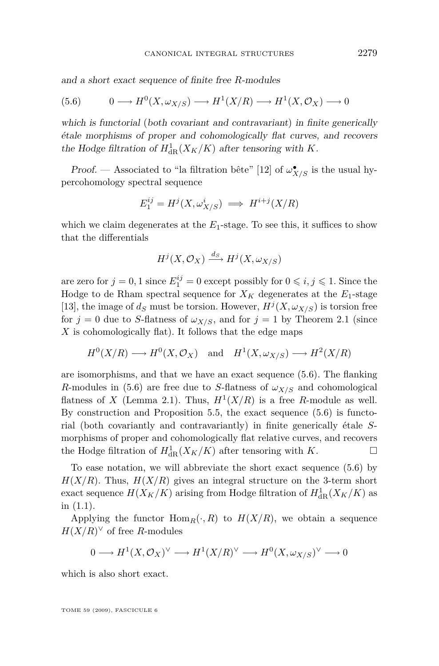<span id="page-25-0"></span>and a short exact sequence of finite free *R*-modules

$$
(5.6) \qquad 0 \longrightarrow H^0(X, \omega_{X/S}) \longrightarrow H^1(X/R) \longrightarrow H^1(X, \mathcal{O}_X) \longrightarrow 0
$$

which is functorial (both covariant and contravariant) in finite generically étale morphisms of proper and cohomologically flat curves, and recovers the Hodge filtration of  $H^1_{\text{dR}}(X_K/K)$  after tensoring with K.

Proof. — Associated to "la filtration bête" [\[12\]](#page-45-0) of  $\omega^{\bullet}_{X/S}$  is the usual hypercohomology spectral sequence

$$
E_1^{ij} = H^j(X, \omega_{X/S}^i) \implies H^{i+j}(X/R)
$$

which we claim degenerates at the  $E_1$ -stage. To see this, it suffices to show that the differentials

$$
H^j(X, \mathcal{O}_X) \xrightarrow{d_S} H^j(X, \omega_{X/S})
$$

are zero for  $j = 0, 1$  since  $E_1^{ij} = 0$  except possibly for  $0 \le i, j \le 1$ . Since the Hodge to de Rham spectral sequence for  $X_K$  degenerates at the  $E_1$ -stage [\[13\]](#page-45-0), the image of  $d_S$  must be torsion. However,  $H^j(X, \omega_{X/S})$  is torsion free for  $j = 0$  due to *S*-flatness of  $\omega_{X/S}$ , and for  $j = 1$  by Theorem [2.1](#page-6-0) (since *X* is cohomologically flat). It follows that the edge maps

$$
H^0(X/R) \longrightarrow H^0(X,\mathcal{O}_X)
$$
 and  $H^1(X,\omega_{X/S}) \longrightarrow H^2(X/R)$ 

are isomorphisms, and that we have an exact sequence (5.6). The flanking *R*-modules in (5.6) are free due to *S*-flatness of  $\omega_{X/S}$  and cohomological flatness of *X* (Lemma [2.1\)](#page-6-0). Thus,  $H^1(X/R)$  is a free *R*-module as well. By construction and Proposition [5.5,](#page-23-0) the exact sequence (5.6) is functorial (both covariantly and contravariantly) in finite generically étale *S*morphisms of proper and cohomologically flat relative curves, and recovers the Hodge filtration of  $H_{\text{dR}}^1(X_K/K)$  after tensoring with  $K$ .

To ease notation, we will abbreviate the short exact sequence (5.6) by  $H(X/R)$ . Thus,  $H(X/R)$  gives an integral structure on the 3-term short exact sequence  $H(X_K/K)$  arising from Hodge filtration of  $H^1_{\text{dR}}(X_K/K)$  as in [\(1.1\)](#page-2-0).

Applying the functor  $\text{Hom}_R(\cdot, R)$  to  $H(X/R)$ , we obtain a sequence  $H(X/R)^{\vee}$  of free *R*-modules

$$
0\longrightarrow H^1(X, \mathcal{O}_X)^\vee\longrightarrow H^1(X/R)^\vee\longrightarrow H^0(X, \omega_{X/S})^\vee\longrightarrow 0
$$

which is also short exact.

TOME 59 (2009), FASCICULE 6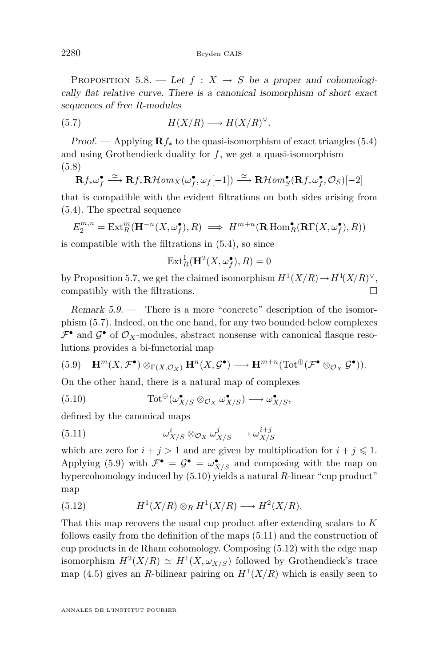<span id="page-26-0"></span>PROPOSITION 5.8. — Let  $f: X \rightarrow S$  be a proper and cohomologically flat relative curve. There is a canonical isomorphism of short exact sequences of free *R*-modules

$$
(5.7) \tH(X/R) \longrightarrow H(X/R)^{\vee}.
$$

Proof. — Applying  $\mathbf{R} f_*$  to the quasi-isomorphism of exact triangles [\(5.4\)](#page-23-0) and using Grothendieck duality for *f*, we get a quasi-isomorphism (5.8)

$$
\mathbf{R}f_*\omega_f^{\bullet} \xrightarrow{\simeq} \mathbf{R}f_*\mathbf{R}\mathcal{H}om_X(\omega_f^{\bullet}, \omega_f[-1]) \xrightarrow{\simeq} \mathbf{R}\mathcal{H}om_S^{\bullet}(\mathbf{R}f_*\omega_f^{\bullet}, \mathcal{O}_S)[-2]
$$

that is compatible with the evident filtrations on both sides arising from [\(5.4\)](#page-23-0). The spectral sequence

$$
E_2^{m,n} = \text{Ext}_R^m(\mathbf{H}^{-n}(X,\omega_f^{\bullet}),R) \implies H^{m+n}(\mathbf{R} \text{ Hom}_R^{\bullet}(\mathbf{R}\Gamma(X,\omega_f^{\bullet}),R))
$$

is compatible with the filtrations in [\(5.4\)](#page-23-0), so since

$$
\operatorname{Ext}^1_R(\mathbf{H}^2(X,\omega_f^\bullet),R)=0
$$

by Proposition [5.7,](#page-24-0) we get the claimed isomorphism  $H^1(X/R) \to H^1(X/R)^{\vee}$ , compatibly with the filtrations.

Remark 5.9. — There is a more "concrete" description of the isomorphism (5.7). Indeed, on the one hand, for any two bounded below complexes  $\mathcal{F}^{\bullet}$  and  $\mathcal{G}^{\bullet}$  of  $\mathcal{O}_X$ -modules, abstract nonsense with canonical flasque resolutions provides a bi-functorial map

$$
(5.9) \quad \mathbf{H}^m(X, \mathcal{F}^\bullet) \otimes_{\Gamma(X, \mathcal{O}_X)} \mathbf{H}^n(X, \mathcal{G}^\bullet) \longrightarrow \mathbf{H}^{m+n}(\text{Tot}^{\oplus}(\mathcal{F}^\bullet \otimes_{\mathcal{O}_X} \mathcal{G}^\bullet)).
$$

On the other hand, there is a natural map of complexes

(5.10) 
$$
\operatorname{Tot}^{\oplus}(\omega_{X/S}^{\bullet} \otimes_{\mathcal{O}_X} \omega_{X/S}^{\bullet}) \longrightarrow \omega_{X/S}^{\bullet},
$$

defined by the canonical maps

(5.11) 
$$
\omega_{X/S}^i \otimes_{\mathcal{O}_X} \omega_{X/S}^j \longrightarrow \omega_{X/S}^{i+j}
$$

which are zero for  $i + j > 1$  and are given by multiplication for  $i + j \leq 1$ . Applying (5.9) with  $\mathcal{F}^{\bullet} = \mathcal{G}^{\bullet} = \omega^{\bullet}_{X/S}$  and composing with the map on hypercohomology induced by (5.10) yields a natural *R*-linear "cup product" map

(5.12) 
$$
H^1(X/R) \otimes_R H^1(X/R) \longrightarrow H^2(X/R).
$$

That this map recovers the usual cup product after extending scalars to *K* follows easily from the definition of the maps (5.11) and the construction of cup products in de Rham cohomology. Composing (5.12) with the edge map isomorphism  $H^2(X/R) \simeq H^1(X, \omega_{X/S})$  followed by Grothendieck's trace map  $(4.5)$  gives an *R*-bilinear pairing on  $H<sup>1</sup>(X/R)$  which is easily seen to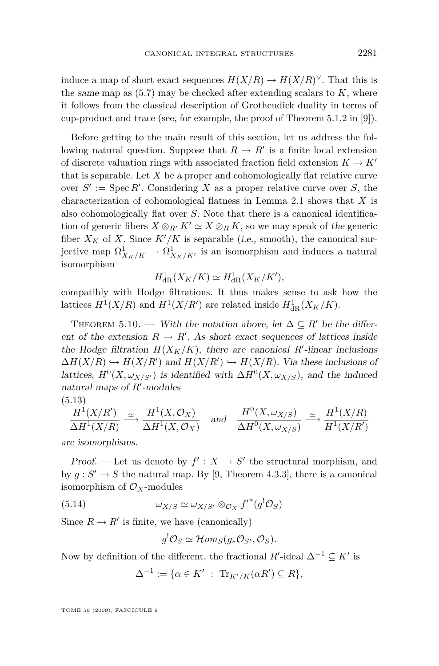<span id="page-27-0"></span>induce a map of short exact sequences  $H(X/R) \to H(X/R)^{\vee}$ . That this is the same map as  $(5.7)$  may be checked after extending scalars to  $K$ , where it follows from the classical description of Grothendick duality in terms of cup-product and trace (see, for example, the proof of Theorem 5.1.2 in [\[9\]](#page-45-0)).

Before getting to the main result of this section, let us address the following natural question. Suppose that  $R \to R'$  is a finite local extension of discrete valuation rings with associated fraction field extension  $K \to K'$ that is separable. Let *X* be a proper and cohomologically flat relative curve over  $S' := \operatorname{Spec} R'$ . Considering X as a proper relative curve over S, the characterization of cohomological flatness in Lemma [2.1](#page-6-0) shows that *X* is also cohomologically flat over *S*. Note that there is a canonical identification of generic fibers  $X \otimes_{R'} K' \simeq X \otimes_R K$ , so we may speak of the generic fiber  $X_K$  of X. Since  $K'/K$  is separable (i.e., smooth), the canonical surjective map  $\Omega^1_{X_K/K} \to \Omega^1_{X_K/K}$  is an isomorphism and induces a natural isomorphism

$$
H^1_{\mathrm{dR}}(X_K/K) \simeq H^1_{\mathrm{dR}}(X_K/K'),
$$

compatibly with Hodge filtrations. It thus makes sense to ask how the lattices  $H^1(X/R)$  and  $H^1(X/R')$  are related inside  $H^1_{dR}(X_K/K)$ .

THEOREM 5.10. — With the notation above, let  $\Delta \subseteq R'$  be the different of the extension  $R \to R'$ . As short exact sequences of lattices inside the Hodge filtration  $H(X_K/K)$ , there are canonical  $R'$ -linear inclusions  $\Delta H(X/R) \hookrightarrow H(X/R')$  and  $H(X/R') \hookrightarrow H(X/R)$ . Via these inclusions of lattices,  $H^0(X, \omega_{X/S'})$  is identified with  $\Delta H^0(X, \omega_{X/S})$ , and the induced natural maps of  $R'$ -modules

$$
(5.13)
$$

$$
\frac{H^1(X/R')}{\Delta H^1(X/R)} \xrightarrow{\simeq} \frac{H^1(X, \mathcal{O}_X)}{\Delta H^1(X, \mathcal{O}_X)} \quad \text{and} \quad \frac{H^0(X, \omega_{X/S})}{\Delta H^0(X, \omega_{X/S})} \xrightarrow{\simeq} \frac{H^1(X/R)}{H^1(X/R')}
$$

are isomorphisms.

Proof. — Let us denote by  $f' : X \to S'$  the structural morphism, and by  $g: S' \to S$  the natural map. By [\[9,](#page-45-0) Theorem 4.3.3], there is a canonical isomorphism of  $\mathcal{O}_X$ -modules

(5.14) 
$$
\omega_{X/S} \simeq \omega_{X/S'} \otimes_{\mathcal{O}_X} f'^*(g^! \mathcal{O}_S)
$$

Since  $R \to R'$  is finite, we have (canonically)

$$
g^{!}\mathcal{O}_{S} \simeq \mathcal{H}om_{S}(g_{*}\mathcal{O}_{S'}, \mathcal{O}_{S}).
$$

Now by definition of the different, the fractional  $R'$ -ideal  $\Delta^{-1} \subseteq K'$  is

$$
\Delta^{-1} := \{ \alpha \in K' \; : \; \text{Tr}_{K'/K}(\alpha R') \subseteq R \},
$$

TOME 59 (2009), FASCICULE 6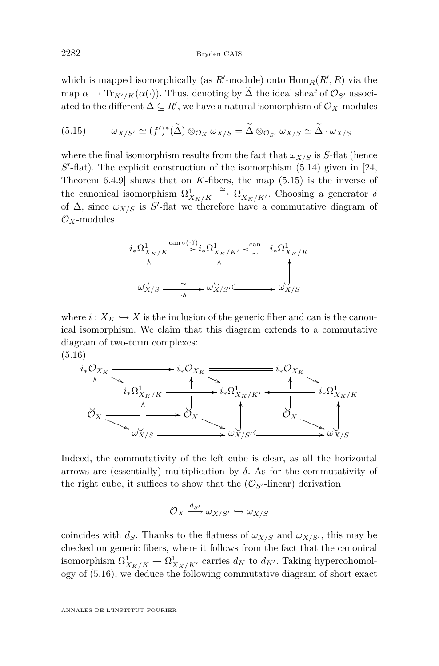which is mapped isomorphically (as  $R'$ -module) onto  $\text{Hom}_R(R', R)$  via the map  $\alpha \mapsto \text{Tr}_{K'/K}(\alpha(\cdot))$ . Thus, denoting by  $\Delta$  the ideal sheaf of  $\mathcal{O}_{S'}$  associated to the different  $\Delta \subseteq R'$ , we have a natural isomorphism of  $\mathcal{O}_X$ -modules

(5.15) 
$$
\omega_{X/S'} \simeq (f')^*(\widetilde{\Delta}) \otimes_{\mathcal{O}_X} \omega_{X/S} = \widetilde{\Delta} \otimes_{\mathcal{O}_{S'}} \omega_{X/S} \simeq \widetilde{\Delta} \cdot \omega_{X/S}
$$

where the final isomorphism results from the fact that  $\omega_{X/S}$  is *S*-flat (hence  $S'$ -flat). The explicit construction of the isomorphism  $(5.14)$  given in [\[24,](#page-46-0) Theorem 6.4.9] shows that on *K*-fibers, the map (5.15) is the inverse of the canonical isomorphism  $\Omega^1_{X_K/K} \xrightarrow{\simeq} \Omega^1_{X_K/K}$ . Choosing a generator  $\delta$ of  $\Delta$ , since  $\omega_{X/S}$  is S'-flat we therefore have a commutative diagram of *OX*-modules

$$
i_*\Omega^1_{X_K/K} \xrightarrow{\operatorname{can} \circ (\cdot \delta)} i_*\Omega^1_{X_K/K'} \xleftarrow{\operatorname{can}} i_*\Omega^1_{X_K/K}
$$
  

$$
\downarrow \qquad \qquad \downarrow \qquad \qquad \downarrow
$$
  

$$
\omega_{X/S} \xrightarrow{\simeq} \omega^1_{X/S'} \xleftarrow{\simeq} \omega^1_{X/S}
$$

where  $i: X_K \hookrightarrow X$  is the inclusion of the generic fiber and can is the canonical isomorphism. We claim that this diagram extends to a commutative diagram of two-term complexes: (5.16)

*i∗OX<sup>K</sup>* / P' PP *i∗OX<sup>K</sup>* P( PP *i∗OX<sup>K</sup>* P' PP *i∗*Ω 1 *<sup>X</sup>K/K* /*i∗*Ω 1 *XK/K<sup>0</sup>* PPP *i∗*Ω 1 *<sup>X</sup>K/K* o *O<sup>X</sup>* / R( RR RR R ? OO *O<sup>X</sup>* R) RR RR R ? OO *O<sup>X</sup>* R( RR RR R ? OO *ωX/S* ? OO /*ωX/S<sup>0</sup>* ? OO /*ωX/S* ? OO

Indeed, the commutativity of the left cube is clear, as all the horizontal arrows are (essentially) multiplication by  $\delta$ . As for the commutativity of the right cube, it suffices to show that the  $(\mathcal{O}_{S}$ -linear) derivation

$$
\mathcal{O}_X \xrightarrow{d_{S'}} \omega_{X/S'} \hookrightarrow \omega_{X/S}
$$

coincides with  $d_S$ . Thanks to the flatness of  $\omega_{X/S}$  and  $\omega_{X/S'}$ , this may be checked on generic fibers, where it follows from the fact that the canonical isomorphism  $\Omega^1_{X_K/K} \to \Omega^1_{X_K/K'}$  carries  $d_K$  to  $d_{K'}$ . Taking hypercohomology of (5.16), we deduce the following commutative diagram of short exact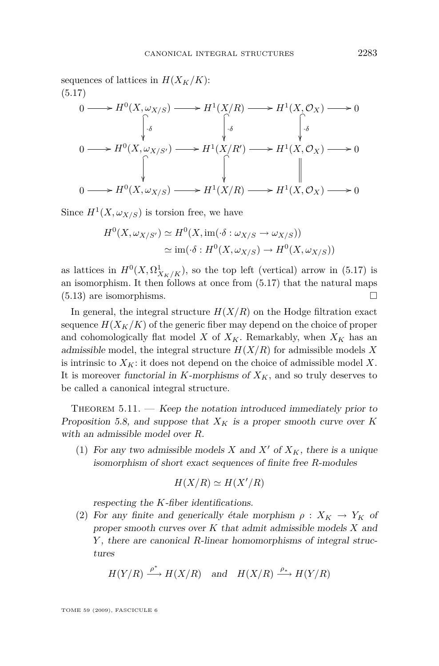<span id="page-29-0"></span>sequences of lattices in  $H(X_K/K)$ : (5.17)

$$
0 \longrightarrow H^{0}(X, \omega_{X/S}) \longrightarrow H^{1}(X/R) \longrightarrow H^{1}(X, \mathcal{O}_{X}) \longrightarrow 0
$$
  
\n
$$
\downarrow \delta
$$
  
\n
$$
0 \longrightarrow H^{0}(X, \omega_{X/S'}) \longrightarrow H^{1}(X/R') \longrightarrow H^{1}(X, \mathcal{O}_{X}) \longrightarrow 0
$$
  
\n
$$
\downarrow \qquad \qquad \downarrow \qquad \qquad \downarrow
$$
  
\n
$$
0 \longrightarrow H^{0}(X, \omega_{X/S}) \longrightarrow H^{1}(X/R) \longrightarrow H^{1}(X, \mathcal{O}_{X}) \longrightarrow 0
$$

Since  $H^1(X, \omega_{X/S})$  is torsion free, we have

$$
H^{0}(X, \omega_{X/S'}) \simeq H^{0}(X, \text{im}(\cdot \delta : \omega_{X/S} \to \omega_{X/S}))
$$
  

$$
\simeq \text{im}(\cdot \delta : H^{0}(X, \omega_{X/S}) \to H^{0}(X, \omega_{X/S}))
$$

as lattices in  $H^0(X, \Omega^1_{X_K/K})$ , so the top left (vertical) arrow in (5.17) is an isomorphism. It then follows at once from (5.17) that the natural maps [\(5.13\)](#page-27-0) are isomorphisms.

In general, the integral structure  $H(X/R)$  on the Hodge filtration exact sequence  $H(X_K/K)$  of the generic fiber may depend on the choice of proper and cohomologically flat model *X* of  $X_K$ . Remarkably, when  $X_K$  has an admissible model, the integral structure *H*(*X/R*) for admissible models *X* is intrinsic to  $X_K$ : it does not depend on the choice of admissible model  $X$ . It is moreover functorial in  $K$ -morphisms of  $X_K$ , and so truly deserves to be called a canonical integral structure.

THEOREM  $5.11.$  — Keep the notation introduced immediately prior to Proposition [5.8,](#page-25-0) and suppose that  $X_K$  is a proper smooth curve over  $K$ with an admissible model over *R*.

(1) For any two admissible models *X* and *X'* of  $X_K$ , there is a unique isomorphism of short exact sequences of finite free *R*-modules

$$
H(X/R) \simeq H(X'/R)
$$

respecting the *K*-fiber identifications.

(2) For any finite and generically étale morphism  $\rho : X_K \to Y_K$  of proper smooth curves over *K* that admit admissible models *X* and *Y* , there are canonical *R*-linear homomorphisms of integral structures

$$
H(Y/R) \xrightarrow{\rho^*} H(X/R)
$$
 and  $H(X/R) \xrightarrow{\rho_*} H(Y/R)$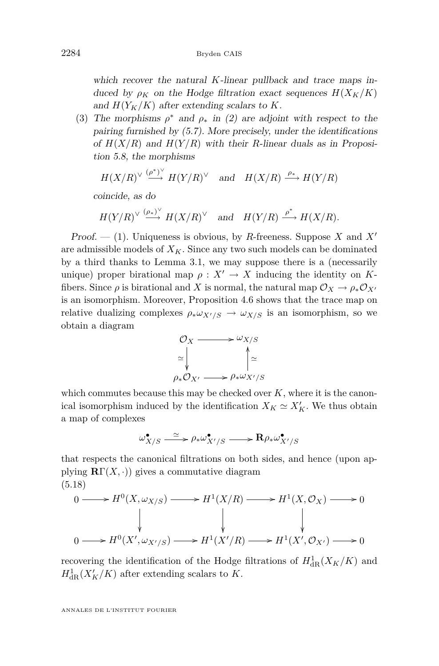<span id="page-30-0"></span>which recover the natural *K*-linear pullback and trace maps induced by  $\rho_K$  on the Hodge filtration exact sequences  $H(X_K/K)$ and  $H(Y_K/K)$  after extending scalars to K.

(3) The morphisms  $\rho^*$  and  $\rho_*$  in [\(2\)](#page-29-0) are adjoint with respect to the pairing furnished by [\(5.7\)](#page-26-0). More precisely, under the identifications of  $H(X/R)$  and  $H(Y/R)$  with their *R*-linear duals as in Proposition [5.8,](#page-25-0) the morphisms

$$
H(X/R)^{\vee} \xrightarrow{(p^*)^{\vee}} H(Y/R)^{\vee}
$$
 and  $H(X/R) \xrightarrow{\rho_*} H(Y/R)$ 

coincide, as do

$$
H(Y/R)^{\vee} \xrightarrow{(\rho_*)^{\vee}} H(X/R)^{\vee}
$$
 and  $H(Y/R) \xrightarrow{\rho^*} H(X/R)$ .

Proof.  $-$  [\(1\)](#page-29-0). Uniqueness is obvious, by *R*-freeness. Suppose *X* and *X<sup><i>i*</sup> are admissible models of  $X_K$ . Since any two such models can be dominated by a third thanks to Lemma [3.1,](#page-11-0) we may suppose there is a (necessarily unique) proper birational map  $\rho: X' \to X$  inducing the identity on Kfibers. Since  $\rho$  is birational and *X* is normal, the natural map  $\mathcal{O}_X \to \rho_* \mathcal{O}_{X'}$ is an isomorphism. Moreover, Proposition [4.6](#page-21-0) shows that the trace map on relative dualizing complexes  $\rho_* \omega_{X'/S} \to \omega_{X/S}$  is an isomorphism, so we obtain a diagram



which commutes because this may be checked over  $K$ , where it is the canonical isomorphism induced by the identification  $X_K \simeq X'_K$ . We thus obtain a map of complexes

$$
\omega_{X/S}^{\bullet} \xrightarrow{\simeq} \rho_* \omega_{X'/S}^{\bullet} \xrightarrow{\qquad} \mathbf{R} \rho_* \omega_{X'/S}^{\bullet}
$$

that respects the canonical filtrations on both sides, and hence (upon applying  $\mathbf{R}\Gamma(X,.)$  gives a commutative diagram (5.18)

$$
0 \longrightarrow H^{0}(X,\omega_{X/S}) \longrightarrow H^{1}(X/R) \longrightarrow H^{1}(X,\mathcal{O}_{X}) \longrightarrow 0
$$
  
\n
$$
\downarrow \qquad \qquad \downarrow \qquad \qquad \downarrow
$$
  
\n
$$
0 \longrightarrow H^{0}(X',\omega_{X'/S}) \longrightarrow H^{1}(X'/R) \longrightarrow H^{1}(X',\mathcal{O}_{X'}) \longrightarrow 0
$$

recovering the identification of the Hodge filtrations of  $H_{\text{dR}}^1(X_K/K)$  and  $H_{\text{dR}}^1(X_K'/K)$  after extending scalars to *K*.

ANNALES DE L'INSTITUT FOURIER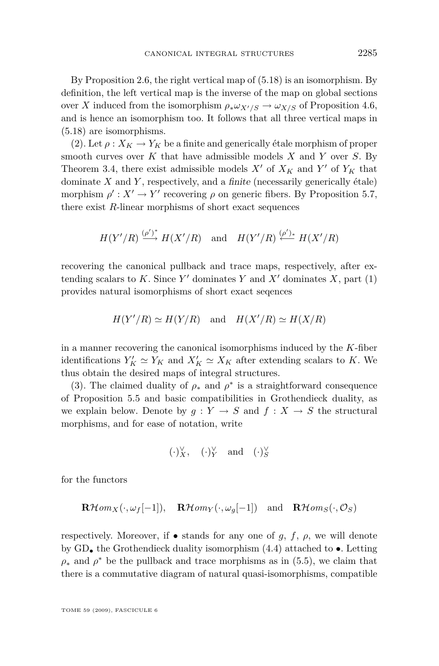By Proposition [2.6,](#page-7-0) the right vertical map of [\(5.18\)](#page-30-0) is an isomorphism. By definition, the left vertical map is the inverse of the map on global sections over *X* induced from the isomorphism  $\rho_* \omega_{X'/S} \to \omega_{X/S}$  of Proposition [4.6,](#page-21-0) and is hence an isomorphism too. It follows that all three vertical maps in [\(5.18\)](#page-30-0) are isomorphisms.

[\(2\)](#page-29-0). Let  $\rho: X_K \to Y_K$  be a finite and generically étale morphism of proper smooth curves over *K* that have admissible models *X* and *Y* over *S*. By Theorem [3.4,](#page-13-0) there exist admissible models  $X'$  of  $X_K$  and  $Y'$  of  $Y_K$  that dominate *X* and *Y* , respectively, and a finite (necessarily generically étale) morphism  $\rho' : X' \to Y'$  recovering  $\rho$  on generic fibers. By Proposition [5.7,](#page-24-0) there exist *R*-linear morphisms of short exact sequences

$$
H(Y'/R) \xrightarrow{(\rho')^*} H(X'/R)
$$
 and  $H(Y'/R) \xrightarrow{(\rho')_*} H(X'/R)$ 

recovering the canonical pullback and trace maps, respectively, after extending scalars to  $K$ . Since  $Y'$  dominates  $Y$  and  $X'$  dominates  $X$ , part [\(1\)](#page-29-0) provides natural isomorphisms of short exact seqences

$$
H(Y'/R) \simeq H(Y/R)
$$
 and  $H(X'/R) \simeq H(X/R)$ 

in a manner recovering the canonical isomorphisms induced by the *K*-fiber identifications  $Y'_K \simeq Y_K$  and  $X'_K \simeq X_K$  after extending scalars to *K*. We thus obtain the desired maps of integral structures.

[\(3\)](#page-30-0). The claimed duality of  $\rho_*$  and  $\rho^*$  is a straightforward consequence of Proposition [5.5](#page-23-0) and basic compatibilities in Grothendieck duality, as we explain below. Denote by  $q: Y \to S$  and  $f: X \to S$  the structural morphisms, and for ease of notation, write

$$
(.)_X^{\vee}, \quad (.)_Y^{\vee} \quad \text{and} \quad (.)_S^{\vee}
$$

for the functors

$$
\mathbf{R}\mathcal{H}om_X(\cdot,\omega_f[-1]), \quad \mathbf{R}\mathcal{H}om_Y(\cdot,\omega_g[-1]) \quad \text{and} \quad \mathbf{R}\mathcal{H}om_S(\cdot,\mathcal{O}_S)
$$

respectively. Moreover, if  $\bullet$  stands for any one of *g*, *f*,  $\rho$ , we will denote by GD*•* the Grothendieck duality isomorphism [\(4.4\)](#page-17-0) attached to *•*. Letting  $\rho_*$  and  $\rho^*$  be the pullback and trace morphisms as in [\(5.5\)](#page-24-0), we claim that there is a commutative diagram of natural quasi-isomorphisms, compatible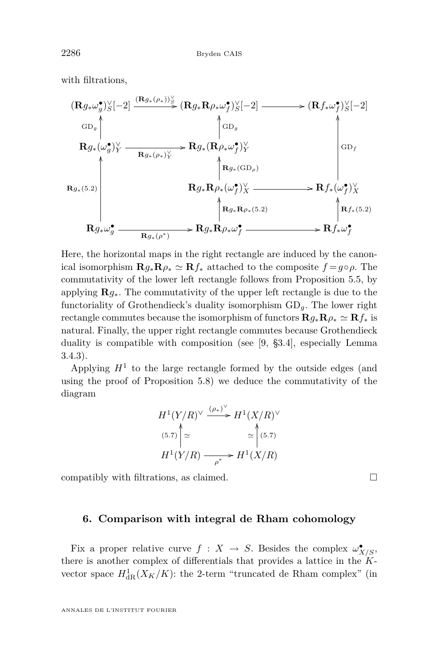<span id="page-32-0"></span>with filtrations,

$$
\begin{aligned}\n(\mathbf{R}g_{*}\omega_{g}^{\bullet})_{S}^{\vee}[-2] & \xrightarrow{(\mathbf{R}g_{*}(\rho_{*}))_{S}^{\vee}} (\mathbf{R}g_{*}\mathbf{R}\rho_{*}\omega_{f}^{\bullet})_{S}^{\vee}[-2] &\xrightarrow{\quad} (\mathbf{R}f_{*}\omega_{f}^{\bullet})_{S}^{\vee}[-2] \\
&\xrightarrow{\mathbf{G}} \mathbf{R}g_{*}(\omega_{g}^{\bullet})_{Y}^{\vee} &\xrightarrow{\quad} \mathbf{R}g_{*}(\mathbf{R}\rho_{*}\omega_{f}^{\bullet})_{Y}^{\vee} \\
&\xrightarrow{\quad} \mathbf{R}g_{*}(\mathbf{G}\mathbf{D}_{\rho}) \\
&\xrightarrow{\quad} \mathbf{R}g_{*}(\mathbf{G}\mathbf{D}_{\rho}) \\
&\xrightarrow{\quad} \mathbf{R}g_{*}(\mathbf{G}\mathbf{D}_{\rho}) \\
&\xrightarrow{\quad} \mathbf{R}g_{*}\mathbf{R}\rho_{*}(\omega_{f}^{\bullet})_{X}^{\vee} &\xrightarrow{\quad} \mathbf{R}f_{*}(\omega_{f}^{\bullet})_{X}^{\vee} \\
&\xrightarrow{\quad} \mathbf{R}g_{*}\mathbf{R}\rho_{*}(\mathbf{G}\mathbf{D}_{\rho}) \\
&\xrightarrow{\quad} \mathbf{R}g_{*}\mathbf{R}\rho_{*}(\mathbf{G}\mathbf{D}_{\rho}) \\
&\xrightarrow{\quad} \mathbf{R}g_{*}\mathbf{R}\rho_{*}(\mathbf{G}\mathbf{D}_{\rho}) \\
&\xrightarrow{\quad} \mathbf{R}f_{*}(\mathbf{G}\mathbf{D}_{\rho}) \\
&\xrightarrow{\quad} \mathbf{R}f_{*}(\mathbf{G}\mathbf{D}_{\rho}) \\
&\xrightarrow{\quad} \mathbf{R}g_{*}\omega_{g}^{\bullet} &\xrightarrow{\quad} \mathbf{R}f_{*}\omega_{f}^{\bullet} \\
&\xrightarrow{\quad} \mathbf{R}f_{*}(\mathbf{G}\mathbf{D}_{\rho}) \\
&\xrightarrow{\quad} \mathbf{R}f_{*}(\mathbf{G}\mathbf{D}_{\rho}) \\
&\xrightarrow{\quad} \mathbf{R}f_{*}(\mathbf{G}\mathbf{D}_{\rho}) \\
&\xrightarrow{\quad} \mathbf{R}g_{*}\mathbf{R}\rho_{*}(\
$$

Here, the horizontal maps in the right rectangle are induced by the canonical isomorphism  $\mathbf{R}g_*\mathbf{R}\rho_* \simeq \mathbf{R}f_*$  attached to the composite  $f = g \circ \rho$ . The commutativity of the lower left rectangle follows from Proposition [5.5,](#page-23-0) by applying **R***g∗*. The commutativity of the upper left rectangle is due to the functoriality of Grothendieck's duality isomorphism GD*g*. The lower right rectangle commutes because the isomorphism of functors  $\mathbf{R}g_*\mathbf{R}\rho_* \simeq \mathbf{R}f_*$  is natural. Finally, the upper right rectangle commutes because Grothendieck duality is compatible with composition (see [\[9,](#page-45-0) §3.4], especially Lemma 3.4.3).

Applying  $H<sup>1</sup>$  to the large rectangle formed by the outside edges (and using the proof of Proposition [5.8\)](#page-25-0) we deduce the commutativity of the diagram

$$
H^1(Y/R)^{\vee} \xrightarrow{(\rho_*)^{\vee}} H^1(X/R)^{\vee}
$$
  
\n(5.7)  
\n
$$
\approx \text{C} \text{C} \text{C} \text{C}
$$
  
\n
$$
H^1(Y/R) \xrightarrow{\rho^*} H^1(X/R)
$$

compatibly with filtrations, as claimed.  $\square$ 

#### **6. Comparison with integral de Rham cohomology**

Fix a proper relative curve  $f: X \to S$ . Besides the complex  $\omega_{X/S}^{\bullet}$ , there is another complex of differentials that provides a lattice in the *K*vector space  $H^1_{\text{dR}}(X_K/K)$ : the 2-term "truncated de Rham complex" (in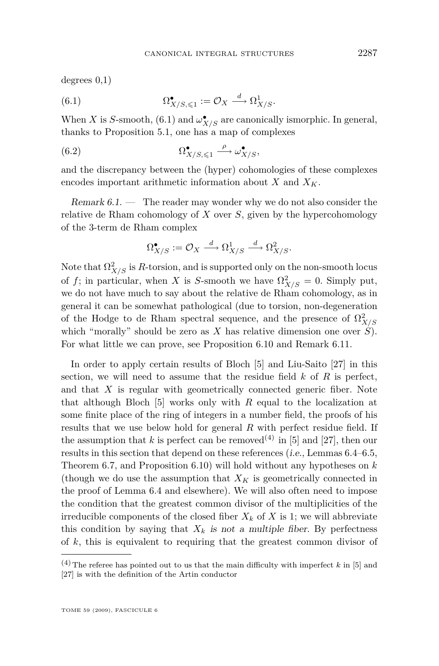<span id="page-33-0"></span>degrees 0,1)

(6.1) 
$$
\Omega^{\bullet}_{X/S,\leqslant 1} := \mathcal{O}_X \xrightarrow{d} \Omega^1_{X/S}.
$$

When *X* is *S*-smooth, (6.1) and  $\omega_{X/S}^{\bullet}$  are canonically ismorphic. In general, thanks to Proposition [5.1,](#page-22-0) one has a map of complexes

(6.2) 
$$
\Omega^{\bullet}_{X/S,\leq 1} \xrightarrow{\rho} \omega^{\bullet}_{X/S},
$$

and the discrepancy between the (hyper) cohomologies of these complexes encodes important arithmetic information about  $X$  and  $X_K$ .

Remark  $6.1.$  — The reader may wonder why we do not also consider the relative de Rham cohomology of *X* over *S*, given by the hypercohomology of the 3-term de Rham complex

$$
\Omega_{X/S}^{\bullet} := \mathcal{O}_X \xrightarrow{d} \Omega_{X/S}^1 \xrightarrow{d} \Omega_{X/S}^2.
$$

Note that  $\Omega^2_{X/S}$  is *R*-torsion, and is supported only on the non-smooth locus of *f*; in particular, when *X* is *S*-smooth we have  $\Omega^2_{X/S} = 0$ . Simply put, we do not have much to say about the relative de Rham cohomology, as in general it can be somewhat pathological (due to torsion, non-degeneration of the Hodge to de Rham spectral sequence, and the presence of  $\Omega^2_{X/S}$ which "morally" should be zero as  $X$  has relative dimension one over  $\hat{S}$ ). For what little we can prove, see Proposition [6.10](#page-40-0) and Remark [6.11.](#page-41-0)

In order to apply certain results of Bloch [\[5\]](#page-45-0) and Liu-Saito [\[27\]](#page-46-0) in this section, we will need to assume that the residue field *k* of *R* is perfect, and that *X* is regular with geometrically connected generic fiber. Note that although Bloch [\[5\]](#page-45-0) works only with *R* equal to the localization at some finite place of the ring of integers in a number field, the proofs of his results that we use below hold for general *R* with perfect residue field. If the assumption that  $k$  is perfect can be removed<sup>(4)</sup> in [\[5\]](#page-45-0) and [\[27\]](#page-46-0), then our results in this section that depend on these references (i.e., Lemmas [6.4–](#page-35-0)[6.5,](#page-36-0) Theorem [6.7,](#page-37-0) and Proposition [6.10\)](#page-40-0) will hold without any hypotheses on *k* (though we do use the assumption that  $X_K$  is geometrically connected in the proof of Lemma [6.4](#page-35-0) and elsewhere). We will also often need to impose the condition that the greatest common divisor of the multiplicities of the irreducible components of the closed fiber  $X_k$  of  $X$  is 1; we will abbreviate this condition by saying that  $X_k$  is not a multiple fiber. By perfectness of *k*, this is equivalent to requiring that the greatest common divisor of

 $(4)$  The referee has pointed out to us that the main difficulty with imperfect k in [\[5\]](#page-45-0) and [\[27\]](#page-46-0) is with the definition of the Artin conductor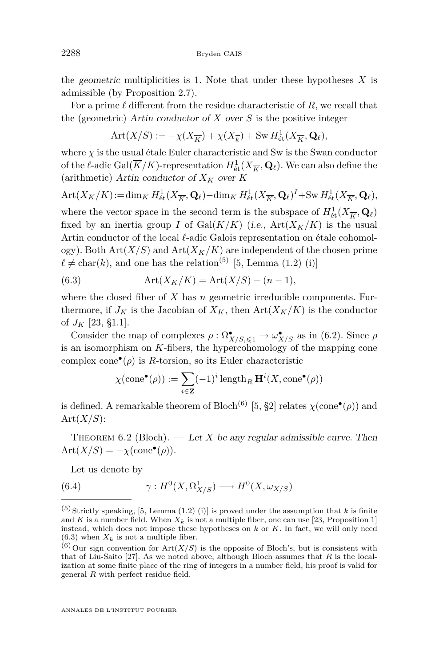<span id="page-34-0"></span>the geometric multiplicities is 1. Note that under these hypotheses *X* is admissible (by Proposition [2.7\)](#page-8-0).

For a prime  $\ell$  different from the residue characteristic of  $R$ , we recall that the (geometric) Artin conductor of *X* over *S* is the positive integer

$$
Art(X/S) := -\chi(X_{\overline{K}}) + \chi(X_{\overline{k}}) + Sw H^1_{\text{\'et}}(X_{\overline{K}}, \mathbf{Q}_{\ell}),
$$

where  $\chi$  is the usual étale Euler characteristic and Sw is the Swan conductor of the  $\ell$ -adic Gal( $\overline{K}/K$ )-representation  $H^1_{\text{\'et}}(X_{\overline{K}}, \mathbf{Q}_\ell)$ . We can also define the (arithmetic) Artin conductor of  $X_K$  over  $K$ 

Art
$$
(X_K/K)
$$
 := dim<sub>K</sub>  $H_{\text{\'et}}^1(X_{\overline{K}}, \mathbf{Q}_\ell)$  - dim<sub>K</sub>  $H_{\text{\'et}}^1(X_{\overline{K}}, \mathbf{Q}_\ell)^I$  + Sw  $H_{\text{\'et}}^1(X_{\overline{K}}, \mathbf{Q}_\ell)$ ,  
where the vector space in the second term is the subspace of  $H_{\text{\'et}}^1(X_{\overline{K}}, \mathbf{Q}_\ell)$   
fixed by an inertia group  $I$  of Gal $(\overline{K}/K)$  (i.e., Art $(X_K/K)$  is the usual  
Artin conductor of the local  $\ell$ -adic Galois representation on étale cohomol-  
ogy). Both Art $(X/S)$  and Art $(X_K/K)$  are independent of the chosen prime  
 $\ell \neq \text{char}(k)$ , and one has the relation<sup>(5)</sup> [5, Lemma (1.2) (i)]

(6.3) 
$$
\text{Art}(X_K/K) = \text{Art}(X/S) - (n-1),
$$

where the closed fiber of *X* has *n* geometric irreducible components. Furthermore, if  $J_K$  is the Jacobian of  $X_K$ , then  $Art(X_K/K)$  is the conductor of  $J_K$  [\[23,](#page-46-0) §1.1].

Consider the map of complexes  $\rho : \Omega^{\bullet}_{X/S, \leq 1} \to \omega^{\bullet}_{X/S}$  as in [\(6.2\)](#page-33-0). Since  $\rho$ is an isomorphism on *K*-fibers, the hypercohomology of the mapping cone complex cone $\mathbf{e}(\rho)$  is *R*-torsion, so its Euler characteristic

$$
\chi(\text{cone}^{\bullet}(\rho)) := \sum_{i \in \mathbf{Z}} (-1)^i \operatorname{length}_R \mathbf{H}^i(X, \text{cone}^{\bullet}(\rho))
$$

is defined. A remarkable theorem of Bloch<sup>(6)</sup> [\[5,](#page-45-0) §2] relates  $\chi(\text{cone}^{\bullet}(\rho))$  and Art(*X/S*):

THEOREM 6.2 (Bloch). — Let *X* be any regular admissible curve. Then  $\text{Art}(X/S) = -\chi(\text{cone}^{\bullet}(\rho)).$ 

Let us denote by

(6.4) 
$$
\gamma: H^0(X, \Omega^1_{X/S}) \longrightarrow H^0(X, \omega_{X/S})
$$

 $(5)$  Strictly speaking, [\[5,](#page-45-0) Lemma (1.2) (i)] is proved under the assumption that *k* is finite and *K* is a number field. When  $X_k$  is not a multiple fiber, one can use [\[23,](#page-46-0) Proposition 1] instead, which does not impose these hypotheses on *k* or *K*. In fact, we will only need  $(6.3)$  when  $X_k$  is not a multiple fiber.

 $^{(6)}$  Our sign convention for  $Art(X/S)$  is the opposite of Bloch's, but is consistent with that of Liu-Saito [\[27\]](#page-46-0). As we noted above, although Bloch assumes that *R* is the localization at some finite place of the ring of integers in a number field, his proof is valid for general *R* with perfect residue field.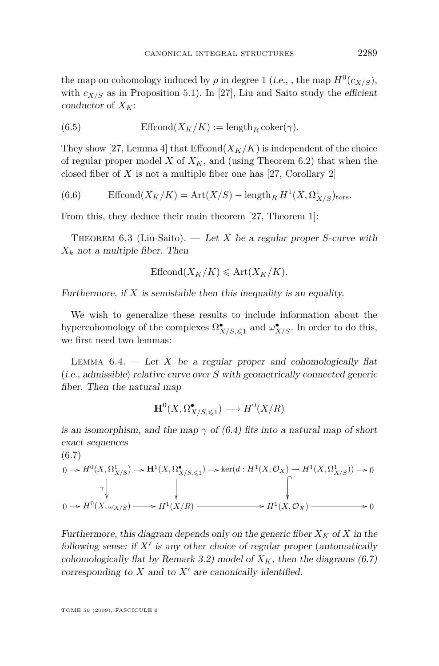<span id="page-35-0"></span>the map on cohomology induced by  $\rho$  in degree 1 (*i.e.*, , the map  $H^0(c_{X/S})$ , with  $c_{X/S}$  as in Proposition [5.1\)](#page-22-0). In [\[27\]](#page-46-0), Liu and Saito study the efficient conductor of  $X_K$ :

(6.5) 
$$
\text{Effcond}(X_K/K) := \text{length}_R \,\text{coker}(\gamma).
$$

They show [\[27,](#page-46-0) Lemma 4] that  $\mathrm{Effcond}(X_K/K)$  is independent of the choice of regular proper model *X* of  $X_K$ , and (using Theorem [6.2\)](#page-34-0) that when the closed fiber of *X* is not a multiple fiber one has [\[27,](#page-46-0) Corollary 2]

(6.6)  Effcond
$$
(X_K/K)
$$
 = Art $(X/S)$  – length<sub>R</sub>  $H^1(X, \Omega^1_{X/S})_{tors}$ .

From this, they deduce their main theorem [\[27,](#page-46-0) Theorem 1]:

Theorem 6.3 (Liu-Saito). — Let *X* be a regular proper *S*-curve with  $X_k$  not a multiple fiber. Then

$$
\text{Effcond}(X_K/K) \leqslant \text{Art}(X_K/K).
$$

Furthermore, if  $X$  is semistable then this inequality is an equality.

We wish to generalize these results to include information about the hypercohomology of the complexes  $\Omega^{\bullet}_{X/S, \leq 1}$  and  $\omega^{\bullet}_{X/S}$ . In order to do this, we first need two lemmas:

LEMMA  $6.4.$  — Let *X* be a regular proper and cohomologically flat (i.e., admissible) relative curve over *S* with geometrically connected generic fiber. Then the natural map

$$
\mathbf{H}^0(X, \Omega^\bullet_{X/S, \leq 1}) \longrightarrow H^0(X/R)
$$

is an isomorphism, and the map  $\gamma$  of [\(6.4\)](#page-34-0) fits into a natural map of short exact sequences

$$
(6.7)
$$
\n
$$
0 \to H^0(X, \Omega^1_{X/S}) \to \mathbf{H}^1(X, \Omega^{\bullet}_{X/S, \leq 1}) \to \ker(d: H^1(X, \mathcal{O}_X) \to H^1(X, \Omega^1_{X/S})) \to 0
$$
\n
$$
\gamma \downarrow \qquad \qquad \downarrow
$$
\n
$$
0 \to H^0(X, \omega_{X/S}) \longrightarrow H^1(X/R) \longrightarrow H^1(X, \mathcal{O}_X) \longrightarrow 0
$$

Furthermore, this diagram depends only on the generic fiber  $X_K$  of X in the following sense: if  $X'$  is any other choice of regular proper (automatically cohomologically flat by Remark [3.2\)](#page-11-0) model of  $X_K$ , then the diagrams (6.7) corresponding to  $X$  and to  $X<sup>'</sup>$  are canonically identified.

TOME 59 (2009), FASCICULE 6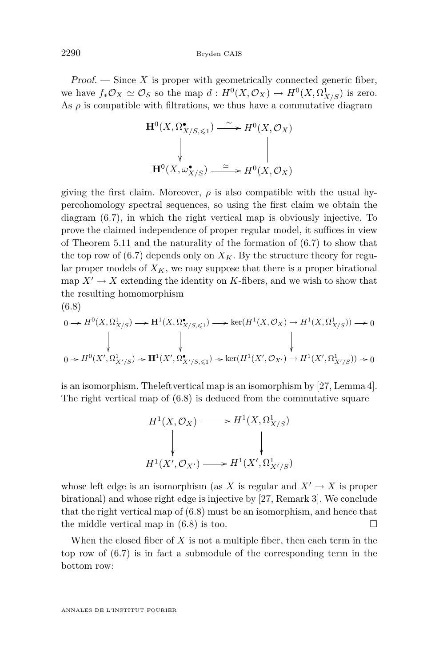<span id="page-36-0"></span> $Proof.$  — Since  $X$  is proper with geometrically connected generic fiber, we have  $f_*\mathcal{O}_X \simeq \mathcal{O}_S$  so the map  $d: H^0(X, \mathcal{O}_X) \to H^0(X, \Omega^1_{X/S})$  is zero. As  $\rho$  is compatible with filtrations, we thus have a commutative diagram

$$
\mathbf{H}^{0}(X,\Omega_{X/S,\leqslant 1}^{\bullet})\xrightarrow{\simeq} H^{0}(X,\mathcal{O}_{X})
$$
\n
$$
\downarrow \qquad \qquad \downarrow \qquad \qquad \parallel
$$
\n
$$
\mathbf{H}^{0}(X,\omega_{X/S}^{\bullet})\xrightarrow{\simeq} H^{0}(X,\mathcal{O}_{X})
$$

giving the first claim. Moreover,  $\rho$  is also compatible with the usual hypercohomology spectral sequences, so using the first claim we obtain the diagram [\(6.7\)](#page-35-0), in which the right vertical map is obviously injective. To prove the claimed independence of proper regular model, it suffices in view of Theorem [5.11](#page-29-0) and the naturality of the formation of [\(6.7\)](#page-35-0) to show that the top row of  $(6.7)$  depends only on  $X_K$ . By the structure theory for regular proper models of  $X_K$ , we may suppose that there is a proper birational map  $X' \to X$  extending the identity on *K*-fibers, and we wish to show that the resulting homomorphism (6.8)

$$
\begin{array}{ccc} 0 \rightarrow H^{0}(X,\Omega^{1}_{X/S}) \longrightarrow {\bf H}^{1}(X,\Omega^{\bullet}_{X/S,\leqslant 1}) \longrightarrow \ker(H^{1}(X,{\mathcal O}_{X}) \rightarrow H^{1}(X,\Omega^{1}_{X/S})) \longrightarrow 0 \\ & & \hspace{3em} \big\downarrow & & \hspace{3em} \big\downarrow & & \hspace{3em} \big\downarrow & & \hspace{3em} \big\downarrow & & \hspace{3em} \big\downarrow & & \hspace{3em} \big\downarrow & & \hspace{3em} \big\downarrow & & \hspace{3em} \big\downarrow & & \hspace{3em} \big\downarrow & & \hspace{3em} \big\downarrow & & \hspace{3em} \big\downarrow & & \hspace{3em} \big\downarrow & & \hspace{3em} \big\downarrow & & \hspace{3em} \big\downarrow & & \hspace{3em} \big\downarrow & & \hspace{3em} \big\downarrow & & \hspace{3em} \big\downarrow & & \hspace{3em} \big\downarrow & & \hspace{3em} \big\downarrow & & \hspace{3em} \big\downarrow & & \hspace{3em} \big\downarrow & & \hspace{3em} \big\downarrow & & \hspace{3em} \big\downarrow & & \hspace{3em} \big\downarrow & & \hspace{3em} \big\downarrow & & \hspace{3em} \big\downarrow & & \hspace{3em} \big\downarrow & & \hspace{3em} \big\downarrow & & \hspace{3em} \big\downarrow & & \hspace{3em} \big\downarrow & & \hspace{3em} \big\downarrow & & \hspace{3em} \big\downarrow & & \hspace{3em} \big\downarrow & & \hspace{3em} \big\downarrow & & \hspace{3em} \big\downarrow & & \hspace{3em} \big\downarrow & & \hspace{3em} \big\downarrow & & \hspace{3em} \big\downarrow & & \hspace{3em} \big\downarrow & & \hspace{3em} \big\downarrow & & \hspace{3em} \big\downarrow & & \hspace{3em} \big\downarrow & & \hspace{3em} \big\downarrow & & \hspace{3em} \big\downarrow & & \hspace{3em} \big\downarrow & & \hspace{3em} \big\downarrow & & \hspace{3em} \big\downarrow & & \hspace{3em} \big\downarrow &
$$

is an isomorphism. Theleftvertical map is an isomorphism by [\[27,](#page-46-0) Lemma 4]. The right vertical map of (6.8) is deduced from the commutative square

$$
H^1(X, \mathcal{O}_X) \longrightarrow H^1(X, \Omega^1_{X/S})
$$
  
\n
$$
\downarrow \qquad \qquad \downarrow
$$
  
\n
$$
H^1(X', \mathcal{O}_{X'}) \longrightarrow H^1(X', \Omega^1_{X'/S})
$$

whose left edge is an isomorphism (as X is regular and  $X' \to X$  is proper birational) and whose right edge is injective by [\[27,](#page-46-0) Remark 3]. We conclude that the right vertical map of (6.8) must be an isomorphism, and hence that the middle vertical map in (6.8) is too.

When the closed fiber of *X* is not a multiple fiber, then each term in the top row of [\(6.7\)](#page-35-0) is in fact a submodule of the corresponding term in the bottom row:

ANNALES DE L'INSTITUT FOURIER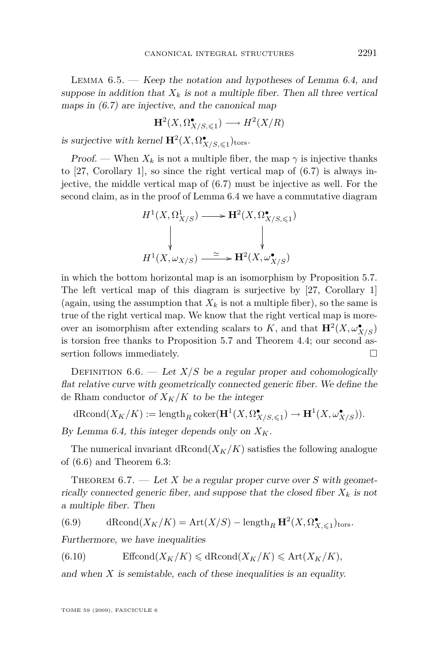<span id="page-37-0"></span>LEMMA  $6.5.$  — Keep the notation and hypotheses of Lemma [6.4,](#page-35-0) and suppose in addition that  $X_k$  is not a multiple fiber. Then all three vertical maps in  $(6.7)$  are injective, and the canonical map

$$
\mathbf{H}^2(X, \Omega^{\bullet}_{X/S, \leq 1}) \longrightarrow H^2(X/R)
$$

is surjective with kernel  $\mathbf{H}^2(X, \Omega^\bullet_{X/S,\leq 1})_{\text{tors}}$ .

Proof. — When  $X_k$  is not a multiple fiber, the map  $\gamma$  is injective thanks to [\[27,](#page-46-0) Corollary 1], so since the right vertical map of [\(6.7\)](#page-35-0) is always injective, the middle vertical map of [\(6.7\)](#page-35-0) must be injective as well. For the second claim, as in the proof of Lemma [6.4](#page-35-0) we have a commutative diagram

$$
H^1(X, \Omega^1_{X/S}) \longrightarrow H^2(X, \Omega^{\bullet}_{X/S, \leqslant 1})
$$
\n
$$
\downarrow \qquad \qquad \downarrow
$$
\n
$$
H^1(X, \omega_{X/S}) \xrightarrow{\simeq} H^2(X, \omega^{\bullet}_{X/S})
$$

in which the bottom horizontal map is an isomorphism by Proposition [5.7.](#page-24-0) The left vertical map of this diagram is surjective by [\[27,](#page-46-0) Corollary 1] (again, using the assumption that  $X_k$  is not a multiple fiber), so the same is true of the right vertical map. We know that the right vertical map is moreover an isomorphism after extending scalars to *K*, and that  $\mathbf{H}^2(X, \omega_{X/S}^{\bullet})$ is torsion free thanks to Proposition [5.7](#page-24-0) and Theorem [4.4;](#page-17-0) our second assertion follows immediately.

DEFINITION  $6.6.$  — Let  $X/S$  be a regular proper and cohomologically flat relative curve with geometrically connected generic fiber. We define the de Rham conductor of  $X_K/K$  to be the integer

 $dRcond(X_K/K) := \text{length}_R \text{coker}(\mathbf{H}^1(X, \Omega_{X/S, \leq 1}^{\bullet}) \to \mathbf{H}^1(X, \omega_{X/S}^{\bullet}).$ 

By Lemma [6.4,](#page-35-0) this integer depends only on  $X_K$ .

The numerical invariant  $dRcond(X_K/K)$  satisfies the following analogue of [\(6.6\)](#page-35-0) and Theorem [6.3:](#page-35-0)

THEOREM  $6.7.$  — Let *X* be a regular proper curve over *S* with geometrically connected generic fiber, and suppose that the closed fiber  $X_k$  is not a multiple fiber. Then

(6.9) 
$$
\mathrm{dRcond}(X_K/K) = \mathrm{Art}(X/S) - \mathrm{length}_R \mathbf{H}^2(X, \Omega^{\bullet}_{X, \leq 1})_{\mathrm{tors}}.
$$

Furthermore, we have inequalities

(6.10) Effcond $(X_K/K) \leq d$ Rcond $(X_K/K) \leq Art(X_K/K)$ ,

and when  $X$  is semistable, each of these inequalities is an equality.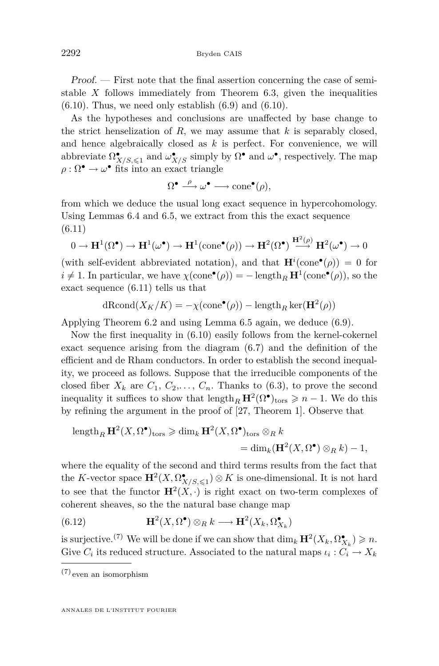<span id="page-38-0"></span>Proof. — First note that the final assertion concerning the case of semistable *X* follows immediately from Theorem [6.3,](#page-35-0) given the inequalities  $(6.10)$ . Thus, we need only establish  $(6.9)$  and  $(6.10)$ .

As the hypotheses and conclusions are unaffected by base change to the strict henselization of *R*, we may assume that *k* is separably closed, and hence algebraically closed as *k* is perfect. For convenience, we will abbreviate  $\Omega^{\bullet}_{X/S,\leqslant 1}$  and  $\omega^{\bullet}_{X/S}$  simply by  $\Omega^{\bullet}$  and  $\omega^{\bullet}$ , respectively. The map  $\rho : \Omega^{\bullet} \to \omega^{\bullet}$  fits into an exact triangle

$$
\Omega^{\bullet} \xrightarrow{\rho} \omega^{\bullet} \longrightarrow \mathrm{cone}^{\bullet}(\rho),
$$

from which we deduce the usual long exact sequence in hypercohomology. Using Lemmas [6.4](#page-35-0) and [6.5,](#page-36-0) we extract from this the exact sequence (6.11)

$$
0 \to \mathbf{H}^1(\Omega^\bullet) \to \mathbf{H}^1(\omega^\bullet) \to \mathbf{H}^1(\text{cone}^\bullet(\rho)) \to \mathbf{H}^2(\Omega^\bullet) \xrightarrow{\mathbf{H}^2(\rho)} \mathbf{H}^2(\omega^\bullet) \to 0
$$

(with self-evident abbreviated notation), and that  $\mathbf{H}^i(\text{cone}^{\bullet}(\rho)) = 0$  for  $i \neq 1$ . In particular, we have  $\chi(\text{cone}^{\bullet}(\rho)) = -\text{length}_{R} \mathbf{H}^{1}(\text{cone}^{\bullet}(\rho))$ , so the exact sequence (6.11) tells us that

$$
dRcond(X_K/K) = -\chi(\text{cone}^{\bullet}(\rho)) - \text{length}_R \ker(\mathbf{H}^2(\rho))
$$

Applying Theorem [6.2](#page-34-0) and using Lemma [6.5](#page-36-0) again, we deduce [\(6.9\)](#page-37-0).

Now the first inequality in [\(6.10\)](#page-37-0) easily follows from the kernel-cokernel exact sequence arising from the diagram [\(6.7\)](#page-35-0) and the definition of the efficient and de Rham conductors. In order to establish the second inequality, we proceed as follows. Suppose that the irreducible components of the closed fiber  $X_k$  are  $C_1, C_2, \ldots, C_n$ . Thanks to [\(6.3\)](#page-34-0), to prove the second inequality it suffices to show that  $\text{length}_R \mathbf{H}^2(\Omega^{\bullet})_{\text{tors}} \geq n - 1$ . We do this by refining the argument in the proof of [\[27,](#page-46-0) Theorem 1]. Observe that

length<sub>R</sub> 
$$
\mathbf{H}^2(X, \Omega^{\bullet})_{\text{tors}} \geq \dim_k \mathbf{H}^2(X, \Omega^{\bullet})_{\text{tors}} \otimes_R k
$$
  
=  $\dim_k(\mathbf{H}^2(X, \Omega^{\bullet}) \otimes_R k) - 1$ ,

where the equality of the second and third terms results from the fact that the *K*-vector space  $\mathbf{H}^2(X, \Omega^{\bullet}_{X/S, \leq 1}) \otimes K$  is one-dimensional. It is not hard to see that the functor  $\mathbf{H}^2(X, \cdot)$  is right exact on two-term complexes of coherent sheaves, so the the natural base change map

(6.12) 
$$
\mathbf{H}^2(X, \Omega^{\bullet}) \otimes_R k \longrightarrow \mathbf{H}^2(X_k, \Omega^{\bullet}_{X_k})
$$

is surjective.<sup>(7)</sup> We will be done if we can show that  $\dim_k \mathbf{H}^2(X_k, \Omega_{X_k}^{\bullet}) \geq n$ . Give  $C_i$  its reduced structure. Associated to the natural maps  $\iota_i: C_i \to X_k$ 

<sup>(7)</sup> even an isomorphism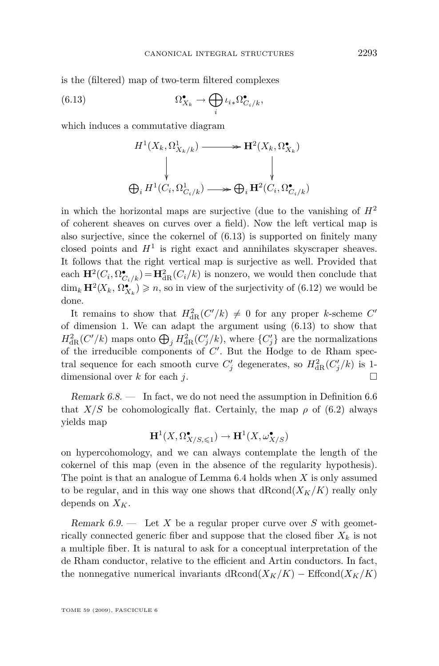is the (filtered) map of two-term filtered complexes

(6.13) 
$$
\Omega_{X_k}^{\bullet} \to \bigoplus_i \iota_{i*} \Omega_{C_i/k}^{\bullet},
$$

which induces a commutative diagram

$$
H^1(X_k, \Omega^1_{X_k/k}) \longrightarrow \mathbf{H}^2(X_k, \Omega^{\bullet}_{X_k})
$$
  
\n
$$
\downarrow \qquad \qquad \downarrow
$$
  
\n
$$
\bigoplus_i H^1(C_i, \Omega^1_{C_i/k}) \longrightarrow \bigoplus_i \mathbf{H}^2(C_i, \Omega^{\bullet}_{C_i/k})
$$

in which the horizontal maps are surjective (due to the vanishing of  $H^2$ ) of coherent sheaves on curves over a field). Now the left vertical map is also surjective, since the cokernel of  $(6.13)$  is supported on finitely many closed points and  $H<sup>1</sup>$  is right exact and annihilates skyscraper sheaves. It follows that the right vertical map is surjective as well. Provided that each  $\mathbf{H}^2(C_i, \Omega_{C_i/k}^{\bullet}) = \mathbf{H}_{dR}^2(C_i/k)$  is nonzero, we would then conclude that  $\dim_k \mathbf{H}^2(X_k, \Omega_{X_k}^{\bullet}) \geqslant n$ , so in view of the surjectivity of [\(6.12\)](#page-38-0) we would be done.

It remains to show that  $H_{\text{dR}}^2(C'/k) \neq 0$  for any proper *k*-scheme  $C'$ of dimension 1. We can adapt the argument using (6.13) to show that  $H_{\text{dR}}^2(C'/k)$  maps onto  $\bigoplus_j H_{\text{dR}}^2(C'_j/k)$ , where  $\{C'_j\}$  are the normalizations of the irreducible components of  $C'$ . But the Hodge to de Rham spectral sequence for each smooth curve  $C'_{j}$  degenerates, so  $H_{\text{dR}}^{2}(C'_{j}/k)$  is 1dimensional over  $k$  for each  $j$ .

Remark 6.8. — In fact, we do not need the assumption in Definition [6.6](#page-37-0) that  $X/S$  be cohomologically flat. Certainly, the map  $\rho$  of [\(6.2\)](#page-33-0) always yields map

$$
\mathbf{H}^1(X,\Omega^\bullet_{X/S,\leqslant 1})\to \mathbf{H}^1(X,\omega^\bullet_{X/S})
$$

on hypercohomology, and we can always contemplate the length of the cokernel of this map (even in the absence of the regularity hypothesis). The point is that an analogue of Lemma [6.4](#page-35-0) holds when *X* is only assumed to be regular, and in this way one shows that  $dRcond(X_K/K)$  really only depends on  $X_K$ .

Remark 6.9. — Let *X* be a regular proper curve over *S* with geometrically connected generic fiber and suppose that the closed fiber  $X_k$  is not a multiple fiber. It is natural to ask for a conceptual interpretation of the de Rham conductor, relative to the efficient and Artin conductors. In fact, the nonnegative numerical invariants dRcond( $X_K/K$ ) – Effcond( $X_K/K$ )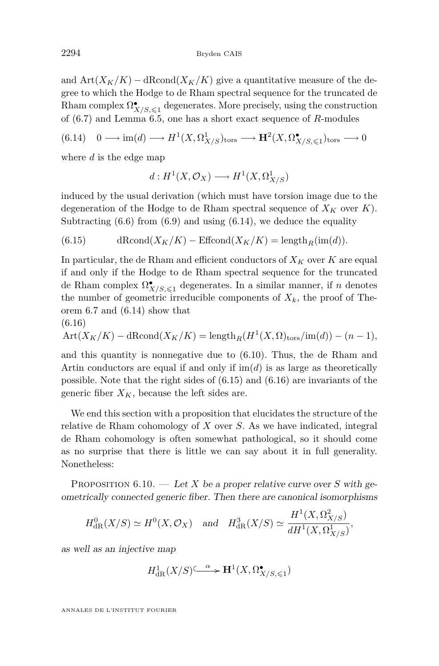<span id="page-40-0"></span>and  $\text{Art}(X_K/K) - \text{dRcond}(X_K/K)$  give a quantitative measure of the degree to which the Hodge to de Rham spectral sequence for the truncated de Rham complex  $\Omega^\bullet_{X/S,\leqslant 1}$  degenerates. More precisely, using the construction of [\(6.7\)](#page-35-0) and Lemma [6.5,](#page-36-0) one has a short exact sequence of *R*-modules

$$
(6.14) \quad 0 \longrightarrow \text{im}(d) \longrightarrow H^1(X, \Omega^1_{X/S})_{\text{tors}} \longrightarrow \mathbf{H}^2(X, \Omega^{\bullet}_{X/S, \leq 1})_{\text{tors}} \longrightarrow 0
$$

where *d* is the edge map

$$
d: H^1(X, \mathcal{O}_X) \longrightarrow H^1(X, \Omega^1_{X/S})
$$

induced by the usual derivation (which must have torsion image due to the degeneration of the Hodge to de Rham spectral sequence of  $X_K$  over  $K$ ). Subtracting  $(6.6)$  from  $(6.9)$  and using  $(6.14)$ , we deduce the equality

(6.15) 
$$
\mathrm{dRcond}(X_K/K)-\mathrm{Effcond}(X_K/K)=\mathrm{length}_R(\mathrm{im}(d)).
$$

In particular, the de Rham and efficient conductors of  $X_K$  over  $K$  are equal if and only if the Hodge to de Rham spectral sequence for the truncated de Rham complex  $\Omega^{\bullet}_{X/S,\leq 1}$  degenerates. In a similar manner, if *n* denotes the number of geometric irreducible components of  $X_k$ , the proof of Theorem [6.7](#page-37-0) and (6.14) show that

$$
(6.16)
$$

$$
Art(X_K/K) - dRcond(X_K/K) = length_R(H^1(X, \Omega)_{tors} / im(d)) - (n-1),
$$

and this quantity is nonnegative due to [\(6.10\)](#page-37-0). Thus, the de Rham and Artin conductors are equal if and only if  $\text{im}(d)$  is as large as theoretically possible. Note that the right sides of (6.15) and (6.16) are invariants of the generic fiber  $X_K$ , because the left sides are.

We end this section with a proposition that elucidates the structure of the relative de Rham cohomology of *X* over *S*. As we have indicated, integral de Rham cohomology is often somewhat pathological, so it should come as no surprise that there is little we can say about it in full generality. Nonetheless:

PROPOSITION  $6.10.$  — Let *X* be a proper relative curve over *S* with geometrically connected generic fiber. Then there are canonical isomorphisms

$$
H_{\text{dR}}^0(X/S) \simeq H^0(X, \mathcal{O}_X)
$$
 and  $H_{\text{dR}}^3(X/S) \simeq \frac{H^1(X, \Omega^2_{X/S})}{dH^1(X, \Omega^1_{X/S})}$ ,

as well as an injective map

$$
H^1_{\mathrm{dR}}(X/S) \xrightarrow{\alpha} \mathbf{H}^1(X, \Omega^{\bullet}_{X/S, \leq 1})
$$

ANNALES DE L'INSTITUT FOURIER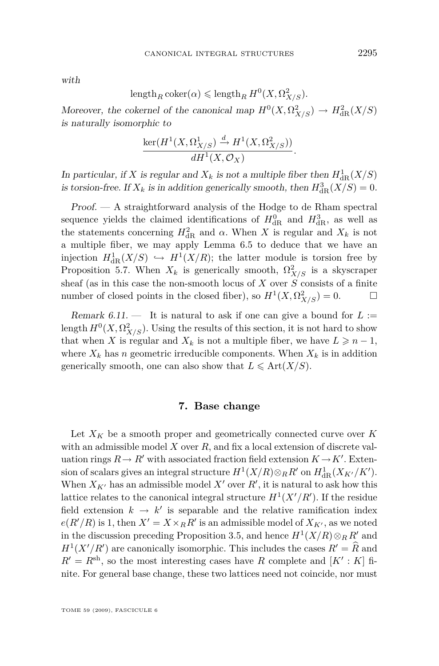<span id="page-41-0"></span>with

$$
\operatorname{length}_R \operatorname{coker}(\alpha) \leqslant \operatorname{length}_R H^0(X, \Omega^2_{X/S}).
$$

Moreover, the cokernel of the canonical map  $H^0(X, \Omega^2_{X/S}) \to H^2_{\text{dR}}(X/S)$ is naturally isomorphic to

$$
\frac{\ker(H^1(X,\Omega^1_{X/S}) \xrightarrow{d} H^1(X,\Omega^2_{X/S}))}{dH^1(X,\mathcal{O}_X)}.
$$

In particular, if *X* is regular and  $X_k$  is not a multiple fiber then  $H^1_{\text{dR}}(X/S)$ is torsion-free. If  $X_k$  is in addition generically smooth, then  $H_{\text{dR}}^3(X/S) = 0$ .

Proof. — A straightforward analysis of the Hodge to de Rham spectral sequence yields the claimed identifications of  $H_{\text{dR}}^0$  and  $H_{\text{dR}}^3$ , as well as the statements concerning  $H_{\text{dR}}^2$  and  $\alpha$ . When *X* is regular and  $X_k$  is not a multiple fiber, we may apply Lemma [6.5](#page-36-0) to deduce that we have an injection  $H^1_{dR}(X/S) \hookrightarrow H^1(X/R)$ ; the latter module is torsion free by Proposition [5.7.](#page-24-0) When  $X_k$  is generically smooth,  $\Omega^2_{X/S}$  is a skyscraper sheaf (as in this case the non-smooth locus of *X* over *S* consists of a finite number of closed points in the closed fiber), so  $H^1(X, \Omega^2_{X/S}) = 0.$ 

Remark  $6.11$ .  $-$  It is natural to ask if one can give a bound for  $L :=$ length  $H^0(X, \Omega^2_{X/S})$ . Using the results of this section, it is not hard to show that when *X* is regular and  $X_k$  is not a multiple fiber, we have  $L \geq n-1$ , where  $X_k$  has *n* geometric irreducible components. When  $X_k$  is in addition generically smooth, one can also show that  $L \leq \text{Art}(X/S)$ .

#### **7. Base change**

Let  $X_K$  be a smooth proper and geometrically connected curve over  $K$ with an admissible model *X* over *R*, and fix a local extension of discrete valuation rings  $R \to R'$  with associated fraction field extension  $K \to K'$ . Extension of scalars gives an integral structure  $H^1(X/R) \otimes_R R'$  on  $H^1_{dR}(X_{K'}/K')$ . When  $X_{K'}$  has an admissible model  $X'$  over  $R'$ , it is natural to ask how this lattice relates to the canonical integral structure  $H^1(X'/R')$ . If the residue field extension  $k \to k'$  is separable and the relative ramification index  $e(R'/R)$  is 1, then  $X' = X \times_R R'$  is an admissible model of  $X_{K'}$ , as we noted in the discussion preceding Proposition [3.5,](#page-14-0) and hence  $H^1(X/R) \otimes_R R'$  and  $H^1(X'/R')$  are canonically isomorphic. This includes the cases  $R' = \hat{R}$  and  $R' = R<sup>sh</sup>$ , so the most interesting cases have *R* complete and  $[K': K]$  finite. For general base change, these two lattices need not coincide, nor must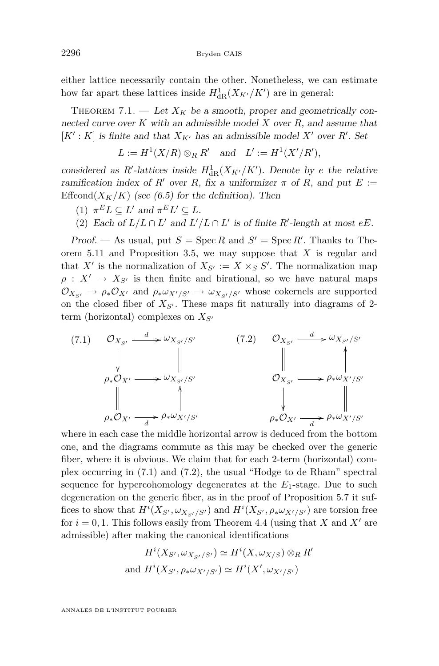<span id="page-42-0"></span>either lattice necessarily contain the other. Nonetheless, we can estimate how far apart these lattices inside  $H_{\text{dR}}^1(X_{K'}/K')$  are in general:

THEOREM 7.1. — Let  $X_K$  be a smooth, proper and geometrically connected curve over *K* with an admissible model *X* over *R*, and assume that  $[K': K]$  is finite and that  $X_{K'}$  has an admissible model  $X'$  over  $R'$ . Set

$$
L := H1(X/R) \otimes_R R' \quad \text{and} \quad L' := H1(X'/R'),
$$

considered as  $R'$ -lattices inside  $H_{dR}^1(X_{K'}/K')$ . Denote by *e* the relative ramification index of  $R'$  over  $R$ , fix a uniformizer  $\pi$  of  $R$ , and put  $E :=$ Effcond $(X_K/K)$  (see [\(6.5\)](#page-35-0) for the definition). Then

- $(1)$   $\pi^E L \subseteq L'$  and  $\pi^E L' \subseteq L$ .
- (2) Each of  $L/L \cap L'$  and  $L'/L \cap L'$  is of finite  $R'$ -length at most  $eE$ .

Proof. — As usual, put  $S = \operatorname{Spec} R$  and  $S' = \operatorname{Spec} R'$ . Thanks to Theorem [5.11](#page-29-0) and Proposition [3.5,](#page-14-0) we may suppose that *X* is regular and that *X<sup><i>i*</sup> is the normalization of  $X_{S'} := X \times_S S'$ . The normalization map  $\rho$  :  $X' \rightarrow X_{S'}$  is then finite and birational, so we have natural maps  $\mathcal{O}_{X_{S'}} \to \rho_* \mathcal{O}_{X'}$  and  $\rho_* \omega_{X'/S'} \to \omega_{X_{S'}/S'}$  whose cokernels are supported on the closed fiber of  $X_{S'}$ . These maps fit naturally into diagrams of 2term (horizontal) complexes on  $X_{S}$ <sup>*o*</sup>



where in each case the middle horizontal arrow is deduced from the bottom one, and the diagrams commute as this may be checked over the generic fiber, where it is obvious. We claim that for each 2-term (horizontal) complex occurring in (7.1) and (7.2), the usual "Hodge to de Rham" spectral sequence for hypercohomology degenerates at the *E*1-stage. Due to such degeneration on the generic fiber, as in the proof of Proposition [5.7](#page-24-0) it suffices to show that  $H^i(X_{S'}, \omega_{X_{S'}/S'})$  and  $H^i(X_{S'}, \rho_*\omega_{X'/S'})$  are torsion free for  $i = 0, 1$ . This follows easily from Theorem [4.4](#page-17-0) (using that X and X' are admissible) after making the canonical identifications

$$
H^i(X_{S'}, \omega_{X_{S'}/S'}) \simeq H^i(X, \omega_{X/S}) \otimes_R R'
$$
  
and  $H^i(X_{S'}, \rho_* \omega_{X'/S'}) \simeq H^i(X', \omega_{X'/S'})$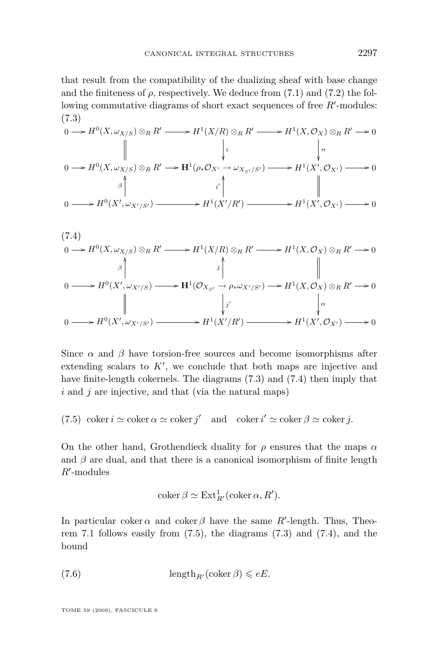<span id="page-43-0"></span>that result from the compatibility of the dualizing sheaf with base change and the finiteness of  $\rho$ , respectively. We deduce from [\(7.1\)](#page-42-0) and [\(7.2\)](#page-42-0) the following commutative diagrams of short exact sequences of free  $R'$ -modules: (7.3)

$$
0 \longrightarrow H^{0}(X, \omega_{X/S}) \otimes_{R} R' \longrightarrow H^{1}(X/R) \otimes_{R} R' \longrightarrow H^{1}(X, \mathcal{O}_{X}) \otimes_{R} R' \longrightarrow 0
$$
  
\n
$$
\downarrow \qquad \qquad \downarrow \qquad \qquad \downarrow \qquad \qquad \downarrow \qquad \qquad \downarrow \qquad \qquad \downarrow \qquad \qquad \downarrow \qquad \qquad \downarrow \qquad \qquad \downarrow \qquad \qquad \downarrow \qquad \qquad \downarrow \qquad \qquad \downarrow \qquad \qquad \downarrow \qquad \qquad \downarrow \qquad \qquad \downarrow \qquad \qquad \downarrow \qquad \qquad \downarrow \qquad \qquad \downarrow \qquad \qquad \downarrow \qquad \qquad \downarrow \qquad \qquad \downarrow \qquad \qquad \downarrow \qquad \qquad \downarrow \qquad \qquad \downarrow \qquad \qquad \downarrow \qquad \qquad \downarrow \qquad \qquad \downarrow \qquad \qquad \downarrow \qquad \qquad \downarrow \qquad \qquad \downarrow \qquad \qquad \downarrow \qquad \qquad \downarrow \qquad \qquad \downarrow \qquad \qquad \downarrow \qquad \qquad \downarrow \qquad \qquad \downarrow \qquad \qquad \downarrow \qquad \qquad \downarrow \qquad \qquad \downarrow \qquad \qquad \downarrow \qquad \qquad \downarrow \qquad \qquad \downarrow \qquad \qquad \downarrow \qquad \qquad \downarrow \qquad \qquad \downarrow \qquad \qquad \downarrow \qquad \qquad \downarrow \qquad \qquad \downarrow \qquad \qquad \downarrow \qquad \qquad \downarrow \qquad \qquad \downarrow \qquad \qquad \downarrow \qquad \qquad \downarrow \qquad \qquad \downarrow \qquad \qquad \downarrow \qquad \qquad \downarrow \qquad \qquad \downarrow \qquad \qquad \downarrow \qquad \qquad \downarrow \qquad \qquad \downarrow \qquad \qquad \downarrow \qquad \qquad \downarrow \qquad \qquad \downarrow \qquad \qquad \downarrow \qquad \qquad \downarrow \qquad \qquad \downarrow \qquad \qquad \downarrow \qquad \qquad \downarrow \qquad \qquad \downarrow \qquad \qquad \downarrow \qquad \qquad \downarrow \qquad \qquad \downarrow \qquad \qquad \downarrow \qquad \qquad \downarrow \qquad \qquad \downarrow \qquad \qquad \downarrow \q
$$

$$
(7.4)
$$
\n
$$
0 \longrightarrow H^{0}(X, \omega_{X/S}) \otimes_{R} R' \longrightarrow H^{1}(X/R) \otimes_{R} R' \longrightarrow H^{1}(X, \mathcal{O}_{X}) \otimes_{R} R' \longrightarrow 0
$$
\n
$$
\uparrow \qquad \qquad \downarrow \qquad \qquad \downarrow
$$
\n
$$
0 \longrightarrow H^{0}(X', \omega_{X'/S}) \longrightarrow H^{1}(\mathcal{O}_{X_{S'}} \to \rho_{*}\omega_{X'/S'}) \longrightarrow H^{1}(X, \mathcal{O}_{X}) \otimes_{R} R' \longrightarrow 0
$$
\n
$$
\downarrow \qquad \qquad \downarrow \qquad \qquad \downarrow
$$
\n
$$
0 \longrightarrow H^{0}(X', \omega_{X'/S'}) \longrightarrow H^{1}(X'/R') \longrightarrow H^{1}(X', \mathcal{O}_{X'}) \longrightarrow 0
$$

Since  $\alpha$  and  $\beta$  have torsion-free sources and become isomorphisms after extending scalars to  $K'$ , we conclude that both maps are injective and have finite-length cokernels. The diagrams (7.3) and (7.4) then imply that *i* and *j* are injective, and that (via the natural maps)

(7.5)  $\operatorname{coker} i \simeq \operatorname{coker} \alpha \simeq \operatorname{coker} j'$  and  $\operatorname{coker} i' \simeq \operatorname{coker} \beta \simeq \operatorname{coker} j$ .

On the other hand, Grothendieck duality for *ρ* ensures that the maps *α* and  $\beta$  are dual, and that there is a canonical isomorphism of finite length  $R'$ -modules

$$
\operatorname{coker} \beta \simeq \operatorname{Ext}^1_{R'}(\operatorname{coker} \alpha, R').
$$

In particular coker  $\alpha$  and coker  $\beta$  have the same  $R'$ -length. Thus, Theo-rem [7.1](#page-42-0) follows easily from  $(7.5)$ , the diagrams  $(7.3)$  and  $(7.4)$ , and the bound

(7.6) 
$$
\operatorname{length}_{R'}(\operatorname{coker}\beta) \leqslant eE.
$$

TOME 59 (2009), FASCICULE 6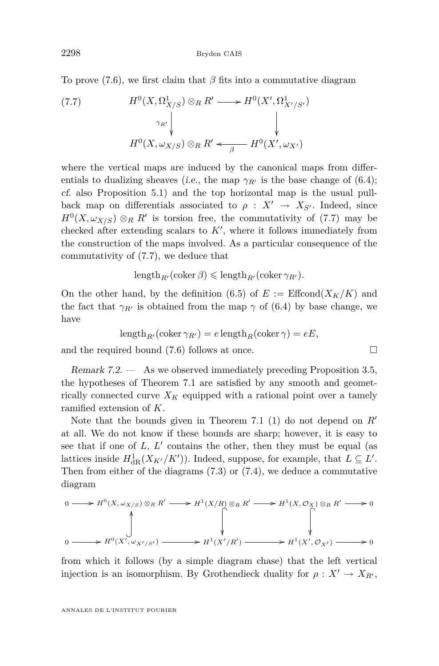<span id="page-44-0"></span>To prove [\(7.6\)](#page-43-0), we first claim that  $\beta$  fits into a commutative diagram

(7.7) 
$$
H^{0}(X, \Omega^{1}_{X/S}) \otimes_{R} R' \longrightarrow H^{0}(X', \Omega^{1}_{X'/S'})
$$

$$
\gamma_{R'} \downarrow \qquad \qquad \downarrow
$$

$$
H^{0}(X, \omega_{X/S}) \otimes_{R} R' \longleftarrow H^{0}(X', \omega_{X'})
$$

where the vertical maps are induced by the canonical maps from differentials to dualizing sheaves (i.e., the map  $\gamma_{R'}$  is the base change of [\(6.4\)](#page-34-0); cf. also Proposition [5.1\)](#page-22-0) and the top horizontal map is the usual pullback map on differentials associated to  $\rho : X' \to X_{S'}$ . Indeed, since  $H^0(X, \omega_{X/S}) \otimes_R R'$  is torsion free, the commutativity of (7.7) may be checked after extending scalars to  $K'$ , where it follows immediately from the construction of the maps involved. As a particular consequence of the commutativity of (7.7), we deduce that

$$
\operatorname{length}_{R'}(\operatorname{coker}\beta)\leqslant \operatorname{length}_{R'}(\operatorname{coker}\gamma_{R'}).
$$

On the other hand, by the definition [\(6.5\)](#page-35-0) of  $E := \text{Effcond}(X_K/K)$  and the fact that  $\gamma_{R'}$  is obtained from the map  $\gamma$  of [\(6.4\)](#page-34-0) by base change, we have

$$
\operatorname{length}_{R'}(\operatorname{coker} \gamma_{R'}) = e \operatorname{length}_{R}(\operatorname{coker} \gamma) = eE,
$$

and the required bound [\(7.6\)](#page-43-0) follows at once.

Remark 7.2. — As we observed immediately preceding Proposition [3.5,](#page-14-0) the hypotheses of Theorem [7.1](#page-42-0) are satisfied by any smooth and geometrically connected curve  $X_K$  equipped with a rational point over a tamely ramified extension of *K*.

Note that the bounds given in Theorem [7.1](#page-42-0) [\(1\)](#page-42-0) do not depend on *R<sup>0</sup>* at all. We do not know if these bounds are sharp; however, it is easy to see that if one of  $L, L'$  contains the other, then they must be equal (as lattices inside  $H^1_{dR}(X_{K'}/K')$ ). Indeed, suppose, for example, that  $L \subseteq L'$ . Then from either of the diagrams [\(7.3\)](#page-43-0) or [\(7.4\)](#page-43-0), we deduce a commutative diagram

$$
0 \longrightarrow H^{0}(X, \omega_{X/S}) \otimes_{R} R' \longrightarrow H^{1}(X/R) \otimes_{R} R' \longrightarrow H^{1}(X, \mathcal{O}_{X}) \otimes_{R} R' \longrightarrow 0
$$
  

$$
\downarrow \qquad \qquad \downarrow
$$
  

$$
0 \longrightarrow H^{0}(X', \omega_{X'/S'}) \longrightarrow H^{1}(X'/R') \longrightarrow H^{1}(X', \mathcal{O}_{X'}) \longrightarrow 0
$$

from which it follows (by a simple diagram chase) that the left vertical injection is an isomorphism. By Grothendieck duality for  $\rho: X' \to X_{R'}$ ,

$$
\Box
$$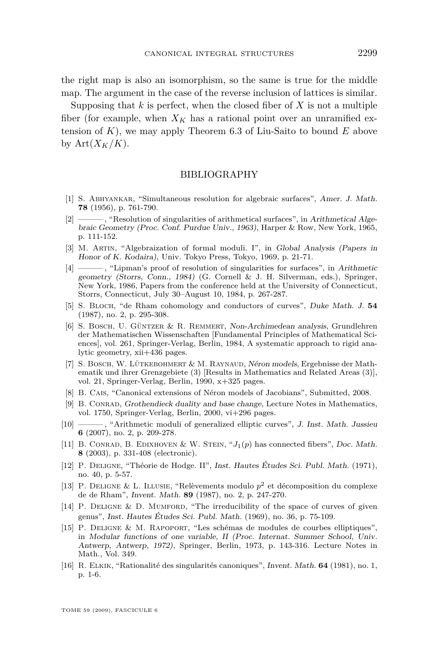<span id="page-45-0"></span>the right map is also an isomorphism, so the same is true for the middle map. The argument in the case of the reverse inclusion of lattices is similar.

Supposing that *k* is perfect, when the closed fiber of *X* is not a multiple fiber (for example, when  $X_K$  has a rational point over an unramified extension of *K*), we may apply Theorem [6.3](#page-35-0) of Liu-Saito to bound *E* above by  $Art(X_K/K)$ .

#### BIBLIOGRAPHY

- [1] S. Abhyankar, "Simultaneous resolution for algebraic surfaces", Amer. J. Math. **78** (1956), p. 761-790.
- [2] ——— , "Resolution of singularities of arithmetical surfaces", in Arithmetical Algebraic Geometry (Proc. Conf. Purdue Univ., 1963), Harper & Row, New York, 1965, p. 111-152.
- [3] M. Artin, "Algebraization of formal moduli. I", in Global Analysis (Papers in Honor of K. Kodaira), Univ. Tokyo Press, Tokyo, 1969, p. 21-71.
- [4] ——— , "Lipman's proof of resolution of singularities for surfaces", in Arithmetic geometry (Storrs, Conn., 1984) (G. Cornell & J. H. Silverman, eds.), Springer, New York, 1986, Papers from the conference held at the University of Connecticut, Storrs, Connecticut, July 30–August 10, 1984, p. 267-287.
- [5] S. BLOCH, "de Rham cohomology and conductors of curves", Duke Math. J. 54 (1987), no. 2, p. 295-308.
- [6] S. Bosch, U. Güntzer & R. Remmert, Non-Archimedean analysis, Grundlehren der Mathematischen Wissenschaften [Fundamental Principles of Mathematical Sciences], vol. 261, Springer-Verlag, Berlin, 1984, A systematic approach to rigid analytic geometry, xii+436 pages.
- [7] S. BOSCH, W. LÜTKEBOHMERT & M. RAYNAUD, Néron models, Ergebnisse der Mathematik und ihrer Grenzgebiete (3) [Results in Mathematics and Related Areas (3)], vol. 21, Springer-Verlag, Berlin, 1990, x+325 pages.
- [8] B. CAIS, "Canonical extensions of Néron models of Jacobians", Submitted, 2008.
- [9] B. CONRAD, Grothendieck duality and base change, Lecture Notes in Mathematics, vol. 1750, Springer-Verlag, Berlin, 2000, vi+296 pages.
- [10] ——— , "Arithmetic moduli of generalized elliptic curves", J. Inst. Math. Jussieu **6** (2007), no. 2, p. 209-278.
- [11] B. CONRAD, B. EDIXHOVEN & W. STEIN, " $J_1(p)$  has connected fibers", Doc. Math. **8** (2003), p. 331-408 (electronic).
- [12] P. Deligne, "Théorie de Hodge. II", Inst. Hautes Études Sci. Publ. Math. (1971), no. 40, p. 5-57.
- [13] P. Deligne & L. Illusie, "Relèvements modulo *p* <sup>2</sup> et décomposition du complexe de de Rham", Invent. Math. **89** (1987), no. 2, p. 247-270.
- [14] P. DELIGNE & D. MUMFORD, "The irreducibility of the space of curves of given genus", Inst. Hautes Études Sci. Publ. Math. (1969), no. 36, p. 75-109.
- [15] P. Deligne & M. Rapoport, "Les schémas de modules de courbes elliptiques", in Modular functions of one variable, II (Proc. Internat. Summer School, Univ. Antwerp, Antwerp, 1972), Springer, Berlin, 1973, p. 143-316. Lecture Notes in Math., Vol. 349.
- [16] R. Elkik, "Rationalité des singularités canoniques", Invent. Math. **64** (1981), no. 1, p. 1-6.